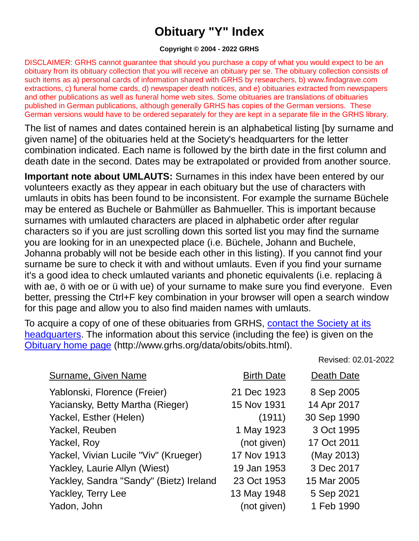## **Obituary "Y" Index**

## **Copyright © 2004 - 2022 GRHS**

DISCLAIMER: GRHS cannot guarantee that should you purchase a copy of what you would expect to be an obituary from its obituary collection that you will receive an obituary per se. The obituary collection consists of such items as a) personal cards of information shared with GRHS by researchers, b) www.findagrave.com extractions, c) funeral home cards, d) newspaper death notices, and e) obituaries extracted from newspapers and other publications as well as funeral home web sites. Some obituaries are translations of obituaries published in German publications, although generally GRHS has copies of the German versions. These German versions would have to be ordered separately for they are kept in a separate file in the GRHS library.

The list of names and dates contained herein is an alphabetical listing [by surname and given name] of the obituaries held at the Society's headquarters for the letter combination indicated. Each name is followed by the birth date in the first column and death date in the second. Dates may be extrapolated or provided from another source.

**Important note about UMLAUTS:** Surnames in this index have been entered by our volunteers exactly as they appear in each obituary but the use of characters with umlauts in obits has been found to be inconsistent. For example the surname Büchele may be entered as Buchele or Bahmüller as Bahmueller. This is important because surnames with umlauted characters are placed in alphabetic order after regular characters so if you are just scrolling down this sorted list you may find the surname you are looking for in an unexpected place (i.e. Büchele, Johann and Buchele, Johanna probably will not be beside each other in this listing). If you cannot find your surname be sure to check it with and without umlauts. Even if you find your surname it's a good idea to check umlauted variants and phonetic equivalents (i.e. replacing ä with ae, ö with oe or ü with ue) of your surname to make sure you find everyone. Even better, pressing the Ctrl+F key combination in your browser will open a search window for this page and allow you to also find maiden names with umlauts.

To acquire a copy of one of these obituaries from GRHS, [contact the Society at its](https://www.grhs.org/pages/contact)  [headquarters.](https://www.grhs.org/pages/contact) The information about this service (including the fee) is given on the [Obituary home page](https://www.grhs.org/pages/obits) (http://www.grhs.org/data/obits/obits.html).

Revised: 02.01-2022

| Surname, Given Name                     | <b>Birth Date</b> | Death Date  |
|-----------------------------------------|-------------------|-------------|
| Yablonski, Florence (Freier)            | 21 Dec 1923       | 8 Sep 2005  |
| Yaciansky, Betty Martha (Rieger)        | 15 Nov 1931       | 14 Apr 2017 |
| Yackel, Esther (Helen)                  | (1911)            | 30 Sep 1990 |
| Yackel, Reuben                          | 1 May 1923        | 3 Oct 1995  |
| Yackel, Roy                             | (not given)       | 17 Oct 2011 |
| Yackel, Vivian Lucile "Viv" (Krueger)   | 17 Nov 1913       | (May 2013)  |
| Yackley, Laurie Allyn (Wiest)           | 19 Jan 1953       | 3 Dec 2017  |
| Yackley, Sandra "Sandy" (Bietz) Ireland | 23 Oct 1953       | 15 Mar 2005 |
| Yackley, Terry Lee                      | 13 May 1948       | 5 Sep 2021  |
| Yadon, John                             | (not given)       | 1 Feb 1990  |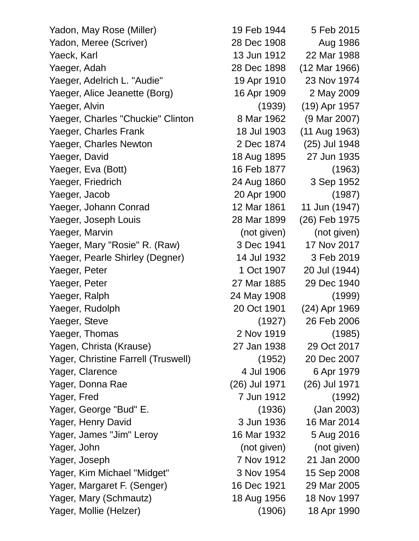| Yadon, May Rose (Miller)            | 19 Feb 1944   | 5 Feb 2015    |  |
|-------------------------------------|---------------|---------------|--|
| Yadon, Meree (Scriver)              | 28 Dec 1908   | Aug 1986      |  |
| Yaeck, Karl                         | 13 Jun 1912   | 22 Mar 1988   |  |
| Yaeger, Adah                        | 28 Dec 1898   | (12 Mar 1966) |  |
| Yaeger, Adelrich L. "Audie"         | 19 Apr 1910   | 23 Nov 1974   |  |
| Yaeger, Alice Jeanette (Borg)       | 16 Apr 1909   | 2 May 2009    |  |
| Yaeger, Alvin                       | (1939)        | (19) Apr 1957 |  |
| Yaeger, Charles "Chuckie" Clinton   | 8 Mar 1962    | (9 Mar 2007)  |  |
| Yaeger, Charles Frank               | 18 Jul 1903   | (11 Aug 1963) |  |
| Yaeger, Charles Newton              | 2 Dec 1874    | (25) Jul 1948 |  |
| Yaeger, David                       | 18 Aug 1895   | 27 Jun 1935   |  |
| Yaeger, Eva (Bott)                  | 16 Feb 1877   | (1963)        |  |
| Yaeger, Friedrich                   | 24 Aug 1860   | 3 Sep 1952    |  |
| Yaeger, Jacob                       | 20 Apr 1900   | (1987)        |  |
| Yaeger, Johann Conrad               | 12 Mar 1861   | 11 Jun (1947) |  |
| Yaeger, Joseph Louis                | 28 Mar 1899   | (26) Feb 1975 |  |
| Yaeger, Marvin                      | (not given)   | (not given)   |  |
| Yaeger, Mary "Rosie" R. (Raw)       | 3 Dec 1941    | 17 Nov 2017   |  |
| Yaeger, Pearle Shirley (Degner)     | 14 Jul 1932   | 3 Feb 2019    |  |
| Yaeger, Peter                       | 1 Oct 1907    | 20 Jul (1944) |  |
| Yaeger, Peter                       | 27 Mar 1885   | 29 Dec 1940   |  |
| Yaeger, Ralph                       | 24 May 1908   | (1999)        |  |
| Yaeger, Rudolph                     | 20 Oct 1901   | (24) Apr 1969 |  |
| Yaeger, Steve                       | (1927)        | 26 Feb 2006   |  |
| Yaeger, Thomas                      | 2 Nov 1919    | (1985)        |  |
| Yagen, Christa (Krause)             | 27 Jan 1938   | 29 Oct 2017   |  |
| Yager, Christine Farrell (Truswell) | (1952)        | 20 Dec 2007   |  |
| Yager, Clarence                     | 4 Jul 1906    | 6 Apr 1979    |  |
| Yager, Donna Rae                    | (26) Jul 1971 | (26) Jul 1971 |  |
| Yager, Fred                         | 7 Jun 1912    | (1992)        |  |
| Yager, George "Bud" E.              | (1936)        | (Jan 2003)    |  |
| Yager, Henry David                  | 3 Jun 1936    | 16 Mar 2014   |  |
| Yager, James "Jim" Leroy            | 16 Mar 1932   | 5 Aug 2016    |  |
| Yager, John                         | (not given)   | (not given)   |  |
| Yager, Joseph                       | 7 Nov 1912    | 21 Jan 2000   |  |
| Yager, Kim Michael "Midget"         | 3 Nov 1954    | 15 Sep 2008   |  |
| Yager, Margaret F. (Senger)         | 16 Dec 1921   | 29 Mar 2005   |  |
| Yager, Mary (Schmautz)              | 18 Aug 1956   | 18 Nov 1997   |  |
| Yager, Mollie (Helzer)              | (1906)        | 18 Apr 1990   |  |
|                                     |               |               |  |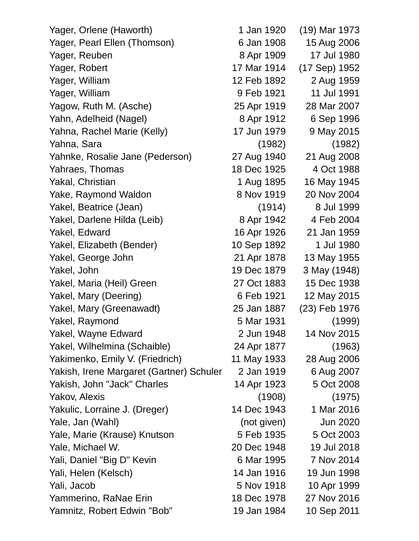| Yager, Orlene (Haworth)                  | 1 Jan 1920  | (19) Mar 1973 |
|------------------------------------------|-------------|---------------|
| Yager, Pearl Ellen (Thomson)             | 6 Jan 1908  | 15 Aug 2006   |
| Yager, Reuben                            | 8 Apr 1909  | 17 Jul 1980   |
| Yager, Robert                            | 17 Mar 1914 | (17 Sep) 1952 |
| Yager, William                           | 12 Feb 1892 | 2 Aug 1959    |
| Yager, William                           | 9 Feb 1921  | 11 Jul 1991   |
| Yagow, Ruth M. (Asche)                   | 25 Apr 1919 | 28 Mar 2007   |
| Yahn, Adelheid (Nagel)                   | 8 Apr 1912  | 6 Sep 1996    |
| Yahna, Rachel Marie (Kelly)              | 17 Jun 1979 | 9 May 2015    |
| Yahna, Sara                              | (1982)      | (1982)        |
| Yahnke, Rosalie Jane (Pederson)          | 27 Aug 1940 | 21 Aug 2008   |
| Yahraes, Thomas                          | 18 Dec 1925 | 4 Oct 1988    |
| Yakal, Christian                         | 1 Aug 1895  | 16 May 1945   |
| Yake, Raymond Waldon                     | 8 Nov 1919  | 20 Nov 2004   |
| Yakel, Beatrice (Jean)                   | (1914)      | 8 Jul 1999    |
| Yakel, Darlene Hilda (Leib)              | 8 Apr 1942  | 4 Feb 2004    |
| Yakel, Edward                            | 16 Apr 1926 | 21 Jan 1959   |
| Yakel, Elizabeth (Bender)                | 10 Sep 1892 | 1 Jul 1980    |
| Yakel, George John                       | 21 Apr 1878 | 13 May 1955   |
| Yakel, John                              | 19 Dec 1879 | 3 May (1948)  |
| Yakel, Maria (Heil) Green                | 27 Oct 1883 | 15 Dec 1938   |
| Yakel, Mary (Deering)                    | 6 Feb 1921  | 12 May 2015   |
| Yakel, Mary (Greenawadt)                 | 25 Jan 1887 | (23) Feb 1976 |
| Yakel, Raymond                           | 5 Mar 1931  | (1999)        |
| Yakel, Wayne Edward                      | 2 Jun 1948  | 14 Nov 2015   |
| Yakel, Wilhelmina (Schaible)             | 24 Apr 1877 | (1963)        |
| Yakimenko, Emily V. (Friedrich)          | 11 May 1933 | 28 Aug 2006   |
| Yakish, Irene Margaret (Gartner) Schuler | 2 Jan 1919  | 6 Aug 2007    |
| Yakish, John "Jack" Charles              | 14 Apr 1923 | 5 Oct 2008    |
| Yakov, Alexis                            | (1908)      | (1975)        |
| Yakulic, Lorraine J. (Dreger)            | 14 Dec 1943 | 1 Mar 2016    |
| Yale, Jan (Wahl)                         | (not given) | Jun 2020      |
| Yale, Marie (Krause) Knutson             | 5 Feb 1935  | 5 Oct 2003    |
| Yale, Michael W.                         | 20 Dec 1948 | 19 Jul 2018   |
| Yali, Daniel "Big D" Kevin               | 6 Mar 1995  | 7 Nov 2014    |
| Yali, Helen (Kelsch)                     | 14 Jan 1916 | 19 Jun 1998   |
| Yali, Jacob                              | 5 Nov 1918  | 10 Apr 1999   |
| Yammerino, RaNae Erin                    | 18 Dec 1978 | 27 Nov 2016   |
| Yamnitz, Robert Edwin "Bob"              | 19 Jan 1984 | 10 Sep 2011   |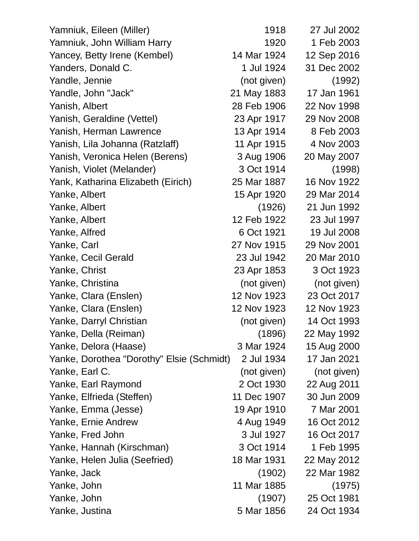| Yamniuk, Eileen (Miller)                  | 1918        | 27 Jul 2002 |
|-------------------------------------------|-------------|-------------|
| Yamniuk, John William Harry               | 1920        | 1 Feb 2003  |
| Yancey, Betty Irene (Kembel)              | 14 Mar 1924 | 12 Sep 2016 |
| Yanders, Donald C.                        | 1 Jul 1924  | 31 Dec 2002 |
| Yandle, Jennie                            | (not given) | (1992)      |
| Yandle, John "Jack"                       | 21 May 1883 | 17 Jan 1961 |
| Yanish, Albert                            | 28 Feb 1906 | 22 Nov 1998 |
| Yanish, Geraldine (Vettel)                | 23 Apr 1917 | 29 Nov 2008 |
| Yanish, Herman Lawrence                   | 13 Apr 1914 | 8 Feb 2003  |
| Yanish, Lila Johanna (Ratzlaff)           | 11 Apr 1915 | 4 Nov 2003  |
| Yanish, Veronica Helen (Berens)           | 3 Aug 1906  | 20 May 2007 |
| Yanish, Violet (Melander)                 | 3 Oct 1914  | (1998)      |
| Yank, Katharina Elizabeth (Eirich)        | 25 Mar 1887 | 16 Nov 1922 |
| Yanke, Albert                             | 15 Apr 1920 | 29 Mar 2014 |
| Yanke, Albert                             | (1926)      | 21 Jun 1992 |
| Yanke, Albert                             | 12 Feb 1922 | 23 Jul 1997 |
| Yanke, Alfred                             | 6 Oct 1921  | 19 Jul 2008 |
| Yanke, Carl                               | 27 Nov 1915 | 29 Nov 2001 |
| Yanke, Cecil Gerald                       | 23 Jul 1942 | 20 Mar 2010 |
| Yanke, Christ                             | 23 Apr 1853 | 3 Oct 1923  |
| Yanke, Christina                          | (not given) | (not given) |
| Yanke, Clara (Enslen)                     | 12 Nov 1923 | 23 Oct 2017 |
| Yanke, Clara (Enslen)                     | 12 Nov 1923 | 12 Nov 1923 |
| Yanke, Darryl Christian                   | (not given) | 14 Oct 1993 |
| Yanke, Della (Reiman)                     | (1896)      | 22 May 1992 |
| Yanke, Delora (Haase)                     | 3 Mar 1924  | 15 Aug 2000 |
| Yanke, Dorothea "Dorothy" Elsie (Schmidt) | 2 Jul 1934  | 17 Jan 2021 |
| Yanke, Earl C.                            | (not given) | (not given) |
| Yanke, Earl Raymond                       | 2 Oct 1930  | 22 Aug 2011 |
| Yanke, Elfrieda (Steffen)                 | 11 Dec 1907 | 30 Jun 2009 |
| Yanke, Emma (Jesse)                       | 19 Apr 1910 | 7 Mar 2001  |
| Yanke, Ernie Andrew                       | 4 Aug 1949  | 16 Oct 2012 |
| Yanke, Fred John                          | 3 Jul 1927  | 16 Oct 2017 |
| Yanke, Hannah (Kirschman)                 | 3 Oct 1914  | 1 Feb 1995  |
| Yanke, Helen Julia (Seefried)             | 18 Mar 1931 | 22 May 2012 |
| Yanke, Jack                               | (1902)      | 22 Mar 1982 |
| Yanke, John                               | 11 Mar 1885 | (1975)      |
| Yanke, John                               | (1907)      | 25 Oct 1981 |
| Yanke, Justina                            | 5 Mar 1856  | 24 Oct 1934 |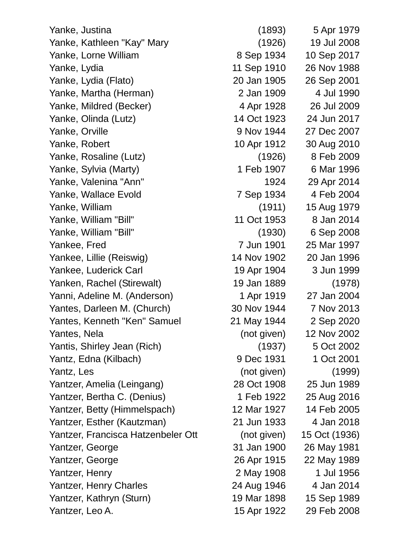Yanke, Justina (1893) 5 Apr 1979 Yanke, Kathleen "Kay" Mary (1926) 19 Jul 2008 Yanke, Lorne William 8 Sep 1934 10 Sep 2017 Yanke, Lydia 11 Sep 1910 26 Nov 1988 Yanke, Lydia (Flato) 20 Jan 1905 26 Sep 2001 Yanke, Martha (Herman) 2 Jan 1909 4 Jul 1990 Yanke, Mildred (Becker) 4 Apr 1928 26 Jul 2009 Yanke, Olinda (Lutz) 14 Oct 1923 24 Jun 2017 Yanke, Orville 9 Nov 1944 27 Dec 2007 Yanke, Robert 10 Apr 1912 30 Aug 2010 Yanke, Rosaline (Lutz) (1926) 8 Feb 2009 Yanke, Sylvia (Marty) 1 Feb 1907 6 Mar 1996 Yanke, Valenina "Ann" 1924 29 Apr 2014 Yanke, Wallace Evold 7 Sep 1934 4 Feb 2004 Yanke, William (1911) 15 Aug 1979 Yanke, William "Bill" 11 Oct 1953 8 Jan 2014 Yanke, William "Bill" (1930) 6 Sep 2008 Yankee, Fred 7 Jun 1901 25 Mar 1997 Yankee, Lillie (Reiswig) 14 Nov 1902 20 Jan 1996 Yankee, Luderick Carl 19 Apr 1904 3 Jun 1999 Yanken, Rachel (Stirewalt) 19 Jan 1889 (1978) Yanni, Adeline M. (Anderson) 1 Apr 1919 27 Jan 2004 Yantes, Darleen M. (Church) 30 Nov 1944 7 Nov 2013 Yantes, Kenneth "Ken" Samuel 21 May 1944 2 Sep 2020 Yantes, Nela (not given) 12 Nov 2002 Yantis, Shirley Jean (Rich) (1937) 5 Oct 2002 Yantz, Edna (Kilbach) 8 Dec 1931 1 Oct 2001 Yantz, Les (not given) (1999) Yantzer, Amelia (Leingang) 28 Oct 1908 25 Jun 1989 Yantzer, Bertha C. (Denius) 1 Feb 1922 25 Aug 2016 Yantzer, Betty (Himmelspach) 12 Mar 1927 14 Feb 2005 Yantzer, Esther (Kautzman) 21 Jun 1933 4 Jan 2018 Yantzer, Francisca Hatzenbeler Ott (not given) 15 Oct (1936) Yantzer, George 31 Jan 1900 26 May 1981 Yantzer, George 26 Apr 1915 22 May 1989 Yantzer, Henry 2 May 1908 1 Jul 1956 Yantzer, Henry Charles 24 Aug 1946 4 Jan 2014 Yantzer, Kathryn (Sturn) 19 Mar 1898 15 Sep 1989 Yantzer, Leo A. 15 Apr 1922 29 Feb 2008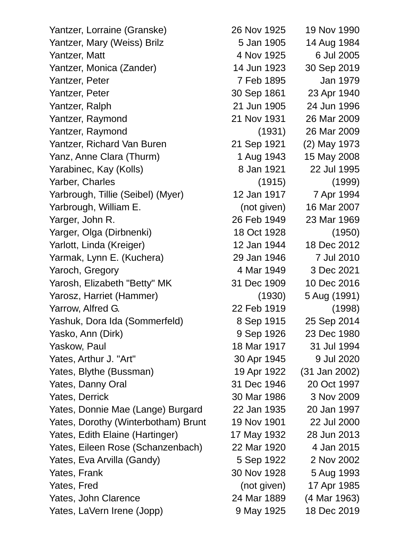Yantzer, Lorraine (Granske) 26 Nov 1925 19 Nov 1990 Yantzer, Mary (Weiss) Brilz 5 Jan 1905 14 Aug 1984 Yantzer, Matt 4 Nov 1925 6 Jul 2005 Yantzer, Monica (Zander) 14 Jun 1923 30 Sep 2019 Yantzer, Peter 7 Feb 1895 Jan 1979 Yantzer, Peter 30 Sep 1861 23 Apr 1940 Yantzer, Ralph 21 Jun 1905 24 Jun 1996 Yantzer, Raymond 21 Nov 1931 26 Mar 2009 Yantzer, Raymond (1931) 26 Mar 2009 Yantzer, Richard Van Buren 21 Sep 1921 (2) May 1973 Yanz, Anne Clara (Thurm) 1 Aug 1943 15 May 2008 Yarabinec, Kay (Kolls) 8 Jan 1921 22 Jul 1995 Yarber, Charles (1915) (1999) Yarbrough, Tillie (Seibel) (Myer) 12 Jan 1917 7 Apr 1994 Yarbrough, William E. (not given) 16 Mar 2007 Yarger, John R. 26 Feb 1949 23 Mar 1969 Yarger, Olga (Dirbnenki) 18 Oct 1928 (1950) Yarlott, Linda (Kreiger) 12 Jan 1944 18 Dec 2012 Yarmak, Lynn E. (Kuchera) 29 Jan 1946 7 Jul 2010 Yaroch, Gregory 4 Mar 1949 3 Dec 2021 Yarosh, Elizabeth "Betty" MK 31 Dec 1909 10 Dec 2016 Yarosz, Harriet (Hammer) (1930) 5 Aug (1991) Yarrow, Alfred G. 22 Feb 1919 (1998) Yashuk, Dora Ida (Sommerfeld) 8 Sep 1915 25 Sep 2014 Yasko, Ann (Dirk) 9 Sep 1926 23 Dec 1980 Yaskow, Paul 1994 Yates, Arthur J. "Art" 30 Apr 1945 9 Jul 2020 Yates, Blythe (Bussman) 19 Apr 1922 (31 Jan 2002) Yates, Danny Oral 31 Dec 1946 20 Oct 1997 Yates, Derrick 30 Mar 1986 3 Nov 2009 Yates, Donnie Mae (Lange) Burgard 22 Jan 1935 20 Jan 1997 Yates, Dorothy (Winterbotham) Brunt 19 Nov 1901 22 Jul 2000 Yates, Edith Elaine (Hartinger) 17 May 1932 28 Jun 2013 Yates, Eileen Rose (Schanzenbach) 22 Mar 1920 4 Jan 2015 Yates, Eva Arvilla (Gandy) 5 Sep 1922 2 Nov 2002 Yates, Frank 30 Nov 1928 5 Aug 1993 Yates, Fred (not given) 17 Apr 1985 Yates, John Clarence 24 Mar 1889 (4 Mar 1963)

Yates, LaVern Irene (Jopp) 9 May 1925 18 Dec 2019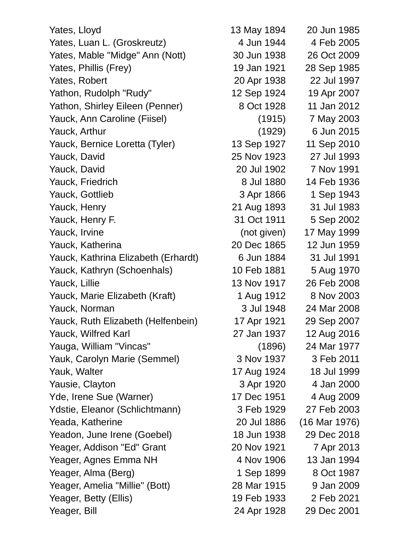Yates, Lloyd **13 May 1894** 20 Jun 1985 Yates, Luan L. (Groskreutz) 4 Jun 1944 4 Feb 2005 Yates, Mable "Midge" Ann (Nott) 30 Jun 1938 26 Oct 2009 Yates, Phillis (Frey) 19 Jan 1921 28 Sep 1985 Yates, Robert 20 Apr 1938 22 Jul 1997 Yathon, Rudolph "Rudy" 12 Sep 1924 19 Apr 2007 Yathon, Shirley Eileen (Penner) 8 Oct 1928 11 Jan 2012 Yauck, Ann Caroline (Fiisel) (1915) 7 May 2003 Yauck, Arthur (1929) 6 Jun 2015 Yauck, Bernice Loretta (Tyler) 13 Sep 1927 11 Sep 2010 Yauck, David 25 Nov 1923 27 Jul 1993 Yauck, David 20 Jul 1902 7 Nov 1991 Yauck, Friedrich 8 Jul 1880 14 Feb 1936 Yauck, Gottlieb 3 Apr 1866 1 Sep 1943 Yauck, Henry 21 Aug 1893 31 Jul 1983 Yauck, Henry F. 31 Oct 1911 5 Sep 2002 Yauck, Irvine (not given) 17 May 1999 Yauck, Katherina 20 Dec 1865 12 Jun 1959 Yauck, Kathrina Elizabeth (Erhardt) 6 Jun 1884 31 Jul 1991 Yauck, Kathryn (Schoenhals) 10 Feb 1881 5 Aug 1970 Yauck, Lillie 13 Nov 1917 26 Feb 2008 Yauck, Marie Elizabeth (Kraft) 1 Aug 1912 8 Nov 2003 Yauck, Norman 3 Jul 1948 24 Mar 2008 Yauck, Ruth Elizabeth (Helfenbein) 17 Apr 1921 29 Sep 2007 Yauck, Wilfred Karl 27 Jan 1937 12 Aug 2016 Yauga, William "Vincas" (1896) 24 Mar 1977 Yauk, Carolyn Marie (Semmel) 3 Nov 1937 3 Feb 2011 Yauk, Walter 17 Aug 1924 18 Jul 1999 Yausie, Clayton 3 Apr 1920 4 Jan 2000 Yde, Irene Sue (Warner) 17 Dec 1951 4 Aug 2009 Ydstie, Eleanor (Schlichtmann) 3 Feb 1929 27 Feb 2003 Yeada, Katherine 20 Jul 1886 (16 Mar 1976) Yeadon, June Irene (Goebel) 18 Jun 1938 29 Dec 2018 Yeager, Addison "Ed" Grant 20 Nov 1921 7 Apr 2013 Yeager, Agnes Emma NH 4 Nov 1906 13 Jan 1994 Yeager, Alma (Berg) 1 Sep 1899 8 Oct 1987 Yeager, Amelia "Millie" (Bott) 28 Mar 1915 9 Jan 2009 Yeager, Betty (Ellis) 19 Feb 1933 2 Feb 2021 Yeager, Bill 24 Apr 1928 29 Dec 2001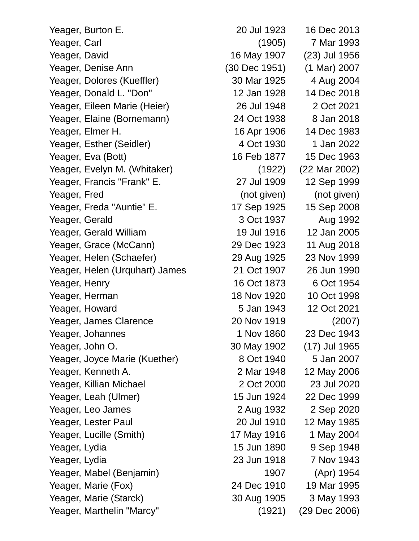Yeager, Burton E. 20 Jul 1923 16 Dec 2013 Yeager, Carl (1905) 7 Mar 1993 Yeager, David 16 May 1907 (23) Jul 1956 Yeager, Denise Ann (30 Dec 1951) (1 Mar) 2007 Yeager, Dolores (Kueffler) 30 Mar 1925 4 Aug 2004 Yeager, Donald L. "Don" 12 Jan 1928 14 Dec 2018 Yeager, Eileen Marie (Heier) 26 Jul 1948 2 Oct 2021 Yeager, Elaine (Bornemann) 24 Oct 1938 8 Jan 2018 Yeager, Elmer H. 16 Apr 1906 14 Dec 1983 Yeager, Esther (Seidler) 4 Oct 1930 1 Jan 2022 Yeager, Eva (Bott) 16 Feb 1877 15 Dec 1963 Yeager, Evelyn M. (Whitaker) (1922) (22 Mar 2002) Yeager, Francis "Frank" E. 27 Jul 1909 12 Sep 1999 Yeager, Fred (not given) (not given) Yeager, Freda "Auntie" E. 17 Sep 1925 15 Sep 2008 Yeager, Gerald 3 Oct 1937 Aug 1992 Yeager, Gerald William 19 Jul 1916 12 Jan 2005 Yeager, Grace (McCann) 29 Dec 1923 11 Aug 2018 Yeager, Helen (Schaefer) 29 Aug 1925 23 Nov 1999 Yeager, Helen (Urquhart) James 21 Oct 1907 26 Jun 1990 Yeager, Henry 16 Oct 1873 6 Oct 1954 Yeager, Herman 18 Nov 1920 10 Oct 1998 Yeager, Howard 5 Jan 1943 12 Oct 2021 Yeager, James Clarence 20 Nov 1919 (2007) Yeager, Johannes 1 Nov 1860 23 Dec 1943 Yeager, John O. 30 May 1902 (17) Jul 1965 Yeager, Joyce Marie (Kuether) 8 Oct 1940 5 Jan 2007 Yeager, Kenneth A. 2 Mar 1948 12 May 2006 Yeager, Killian Michael 2 Oct 2000 23 Jul 2020 Yeager, Leah (Ulmer) 15 Jun 1924 22 Dec 1999 Yeager, Leo James 2 Aug 1932 2 Sep 2020 Yeager, Lester Paul 20 Jul 1910 12 May 1985 Yeager, Lucille (Smith) 17 May 1916 1 May 2004 Yeager, Lydia 15 Jun 1890 9 Sep 1948 Yeager, Lydia 23 Jun 1918 7 Nov 1943 Yeager, Mabel (Benjamin) 1907 (Apr) 1954 Yeager, Marie (Fox) 24 Dec 1910 19 Mar 1995 Yeager, Marie (Starck) 30 Aug 1905 3 May 1993 Yeager, Marthelin "Marcy" (1921) (29 Dec 2006)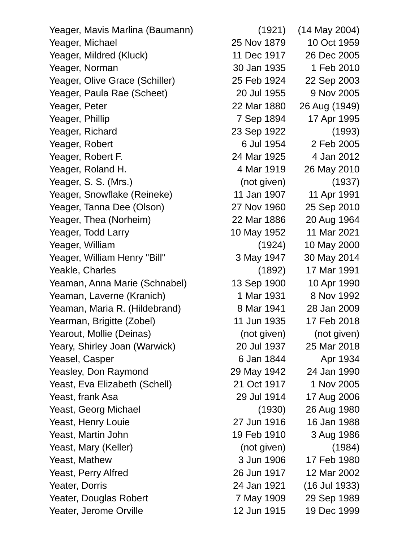Yeager, Mavis Marlina (Baumann) (1921) (14 May 2004) Yeager, Michael 25 Nov 1879 10 Oct 1959 Yeager, Mildred (Kluck) 11 Dec 1917 26 Dec 2005 Yeager, Norman 30 Jan 1935 1 Feb 2010 Yeager, Olive Grace (Schiller) 25 Feb 1924 22 Sep 2003 Yeager, Paula Rae (Scheet) 20 Jul 1955 9 Nov 2005 Yeager, Peter 22 Mar 1880 26 Aug (1949) Yeager, Phillip 7 Sep 1894 17 Apr 1995 Yeager, Richard 23 Sep 1922 (1993) Yeager, Robert 6 Jul 1954 2 Feb 2005 Yeager, Robert F. 24 Mar 1925 4 Jan 2012 Yeager, Roland H. 4 Mar 1919 26 May 2010 Yeager, S. S. (Mrs.) (not given) (1937) Yeager, Snowflake (Reineke) 11 Jan 1907 11 Apr 1991 Yeager, Tanna Dee (Olson) 27 Nov 1960 25 Sep 2010 Yeager, Thea (Norheim) 22 Mar 1886 20 Aug 1964 Yeager, Todd Larry 10 May 1952 11 Mar 2021 Yeager, William (1924) 10 May 2000 Yeager, William Henry "Bill" 3 May 1947 30 May 2014 Yeakle, Charles (1892) 17 Mar 1991 Yeaman, Anna Marie (Schnabel) 13 Sep 1900 10 Apr 1990 Yeaman, Laverne (Kranich) 1 Mar 1931 8 Nov 1992 Yeaman, Maria R. (Hildebrand) 8 Mar 1941 28 Jan 2009 Yearman, Brigitte (Zobel) 11 Jun 1935 17 Feb 2018 Yearout, Mollie (Deinas) (not given) (not given) (not given) Yeary, Shirley Joan (Warwick) 20 Jul 1937 25 Mar 2018 Yeasel, Casper 6 Jan 1844 Apr 1934 Yeasley, Don Raymond 29 May 1942 24 Jan 1990 Yeast, Eva Elizabeth (Schell) 21 Oct 1917 1 Nov 2005 Yeast, frank Asa 29 Jul 1914 17 Aug 2006 Yeast, Georg Michael (1930) 26 Aug 1980 Yeast, Henry Louie 27 Jun 1916 16 Jan 1988 Yeast, Martin John 19 Feb 1910 3 Aug 1986 Yeast, Mary (Keller) (not given) (1984) Yeast, Mathew 3 Jun 1906 17 Feb 1980 Yeast, Perry Alfred 26 Jun 1917 12 Mar 2002 Yeater, Dorris 24 Jan 1921 (16 Jul 1933) Yeater, Douglas Robert 7 May 1909 29 Sep 1989

Yeater, Jerome Orville 12 Jun 1915 19 Dec 1999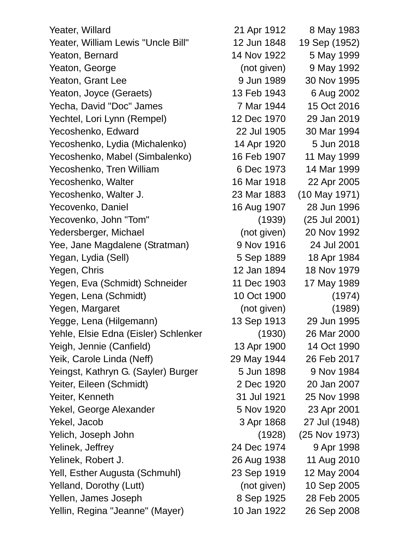Yeater, Willard 21 Apr 1912 8 May 1983 Yeater, William Lewis "Uncle Bill" 12 Jun 1848 19 Sep (1952) Yeaton, Bernard 14 Nov 1922 5 May 1999 Yeaton, George (not given) 9 May 1992 Yeaton, Grant Lee 81 March 20 Jun 1989 30 Nov 1995 Yeaton, Joyce (Geraets) 13 Feb 1943 6 Aug 2002 Yecha, David "Doc" James 7 Mar 1944 15 Oct 2016 Yechtel, Lori Lynn (Rempel) 12 Dec 1970 29 Jan 2019 Yecoshenko, Edward 22 Jul 1905 30 Mar 1994 Yecoshenko, Lydia (Michalenko) 14 Apr 1920 5 Jun 2018 Yecoshenko, Mabel (Simbalenko) 16 Feb 1907 11 May 1999 Yecoshenko, Tren William 6 Dec 1973 14 Mar 1999 Yecoshenko, Walter 16 Mar 1918 22 Apr 2005 Yecoshenko, Walter J. 23 Mar 1883 (10 May 1971) Yecovenko, Daniel 16 Aug 1907 28 Jun 1996 Yecovenko, John "Tom" (1939) (25 Jul 2001) Yedersberger, Michael (not given) 20 Nov 1992 Yee, Jane Magdalene (Stratman) 9 Nov 1916 24 Jul 2001 Yegan, Lydia (Sell) 6 1889 1889 18 Apr 1984 Yegen, Chris 12 Jan 1894 18 Nov 1979 Yegen, Eva (Schmidt) Schneider 11 Dec 1903 17 May 1989 Yegen, Lena (Schmidt) 10 Oct 1900 (1974) Yegen, Margaret (not given) (1989) Yegge, Lena (Hilgemann) 13 Sep 1913 29 Jun 1995 Yehle, Elsie Edna (Eisler) Schlenker (1930) 26 Mar 2000 Yeigh, Jennie (Canfield) 13 Apr 1900 14 Oct 1990 Yeik, Carole Linda (Neff) 29 May 1944 26 Feb 2017 Yeingst, Kathryn G. (Sayler) Burger 5 Jun 1898 9 Nov 1984 Yeiter, Eileen (Schmidt) 2 Dec 1920 20 Jan 2007 Yeiter, Kenneth 31 Jul 1921 25 Nov 1998 Yekel, George Alexander 6 Nov 1920 23 Apr 2001 Yekel, Jacob 3 Apr 1868 27 Jul (1948) Yelich, Joseph John (1928) (25 Nov 1973) Yelinek, Jeffrey 24 Dec 1974 9 Apr 1998 Yelinek, Robert J. 26 Aug 1938 11 Aug 2010 Yell, Esther Augusta (Schmuhl) 23 Sep 1919 12 May 2004 Yelland, Dorothy (Lutt) (not given) 10 Sep 2005 Yellen, James Joseph 8 Sep 1925 28 Feb 2005 Yellin, Regina "Jeanne" (Mayer) 10 Jan 1922 26 Sep 2008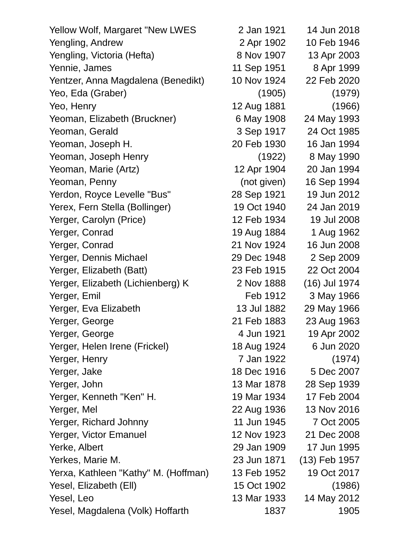| Yellow Wolf, Margaret "New LWES      | 2 Jan 1921  | 14 Jun 2018   |
|--------------------------------------|-------------|---------------|
| Yengling, Andrew                     | 2 Apr 1902  | 10 Feb 1946   |
| Yengling, Victoria (Hefta)           | 8 Nov 1907  | 13 Apr 2003   |
| Yennie, James                        | 11 Sep 1951 | 8 Apr 1999    |
| Yentzer, Anna Magdalena (Benedikt)   | 10 Nov 1924 | 22 Feb 2020   |
| Yeo, Eda (Graber)                    | (1905)      | (1979)        |
| Yeo, Henry                           | 12 Aug 1881 | (1966)        |
| Yeoman, Elizabeth (Bruckner)         | 6 May 1908  | 24 May 1993   |
| Yeoman, Gerald                       | 3 Sep 1917  | 24 Oct 1985   |
| Yeoman, Joseph H.                    | 20 Feb 1930 | 16 Jan 1994   |
| Yeoman, Joseph Henry                 | (1922)      | 8 May 1990    |
| Yeoman, Marie (Artz)                 | 12 Apr 1904 | 20 Jan 1994   |
| Yeoman, Penny                        | (not given) | 16 Sep 1994   |
| Yerdon, Royce Levelle "Bus"          | 28 Sep 1921 | 19 Jun 2012   |
| Yerex, Fern Stella (Bollinger)       | 19 Oct 1940 | 24 Jan 2019   |
| Yerger, Carolyn (Price)              | 12 Feb 1934 | 19 Jul 2008   |
| Yerger, Conrad                       | 19 Aug 1884 | 1 Aug 1962    |
| Yerger, Conrad                       | 21 Nov 1924 | 16 Jun 2008   |
| Yerger, Dennis Michael               | 29 Dec 1948 | 2 Sep 2009    |
| Yerger, Elizabeth (Batt)             | 23 Feb 1915 | 22 Oct 2004   |
| Yerger, Elizabeth (Lichienberg) K    | 2 Nov 1888  | (16) Jul 1974 |
| Yerger, Emil                         | Feb 1912    | 3 May 1966    |
| Yerger, Eva Elizabeth                | 13 Jul 1882 | 29 May 1966   |
| Yerger, George                       | 21 Feb 1883 | 23 Aug 1963   |
| Yerger, George                       | 4 Jun 1921  | 19 Apr 2002   |
| Yerger, Helen Irene (Frickel)        | 18 Aug 1924 | 6 Jun 2020    |
| Yerger, Henry                        | 7 Jan 1922  | (1974)        |
| Yerger, Jake                         | 18 Dec 1916 | 5 Dec 2007    |
| Yerger, John                         | 13 Mar 1878 | 28 Sep 1939   |
| Yerger, Kenneth "Ken" H.             | 19 Mar 1934 | 17 Feb 2004   |
| Yerger, Mel                          | 22 Aug 1936 | 13 Nov 2016   |
| Yerger, Richard Johnny               | 11 Jun 1945 | 7 Oct 2005    |
| Yerger, Victor Emanuel               | 12 Nov 1923 | 21 Dec 2008   |
| Yerke, Albert                        | 29 Jan 1909 | 17 Jun 1995   |
| Yerkes, Marie M.                     | 23 Jun 1871 | (13) Feb 1957 |
| Yerxa, Kathleen "Kathy" M. (Hoffman) | 13 Feb 1952 | 19 Oct 2017   |
| Yesel, Elizabeth (Ell)               | 15 Oct 1902 | (1986)        |
| Yesel, Leo                           | 13 Mar 1933 | 14 May 2012   |
| Yesel, Magdalena (Volk) Hoffarth     | 1837        | 1905          |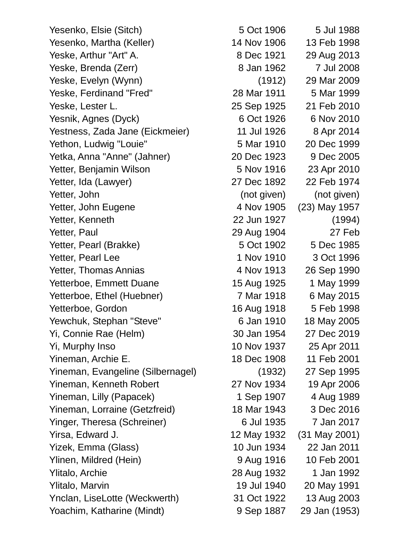Yesenko, Elsie (Sitch) 5 Oct 1906 5 Jul 1988 Yesenko, Martha (Keller) 14 Nov 1906 13 Feb 1998 Yeske, Arthur "Art" A. 8 Dec 1921 29 Aug 2013 Yeske, Brenda (Zerr) 8 Jan 1962 7 Jul 2008 Yeske, Evelyn (Wynn) (1912) 29 Mar 2009 Yeske, Ferdinand "Fred" 28 Mar 1911 5 Mar 1999 Yeske, Lester L. 25 Sep 1925 21 Feb 2010 Yesnik, Agnes (Dyck) 6 Oct 1926 6 Nov 2010 Yestness, Zada Jane (Eickmeier) 11 Jul 1926 8 Apr 2014 Yethon, Ludwig "Louie" 6 Mar 1910 20 Dec 1999 Yetka, Anna "Anne" (Jahner) 20 Dec 1923 9 Dec 2005 Yetter, Benjamin Wilson 5 Nov 1916 23 Apr 2010 Yetter, Ida (Lawyer) 27 Dec 1892 22 Feb 1974 Yetter, John (not given) (not given) (not given) Yetter, John Eugene 4 Nov 1905 (23) May 1957 Yetter, Kenneth 22 Jun 1927 (1994) Yetter, Paul 29 Aug 1904 27 Feb Yetter, Pearl (Brakke) 5 Oct 1902 5 Dec 1985 Yetter, Pearl Lee 1 Nov 1910 3 Oct 1996 Yetter, Thomas Annias 1988 1990 Yetterboe, Emmett Duane 15 Aug 1925 1 May 1999 Yetterboe, Ethel (Huebner) 7 Mar 1918 6 May 2015 Yetterboe, Gordon 16 Aug 1918 5 Feb 1998 Yewchuk, Stephan "Steve" 6 Jan 1910 18 May 2005 Yi, Connie Rae (Helm) 30 Jan 1954 27 Dec 2019 Yi, Murphy Inso 10 Nov 1937 25 Apr 2011 Yineman, Archie E. 18 Dec 1908 11 Feb 2001 Yineman, Evangeline (Silbernagel) (1932) 27 Sep 1995 Yineman, Kenneth Robert 27 Nov 1934 19 Apr 2006 Yineman, Lilly (Papacek) 1 Sep 1907 4 Aug 1989 Yineman, Lorraine (Getzfreid) 18 Mar 1943 3 Dec 2016 Yinger, Theresa (Schreiner) 6 Jul 1935 7 Jan 2017 Yirsa, Edward J. 12 May 1932 (31 May 2001) Yizek, Emma (Glass) 10 Jun 1934 22 Jan 2011 Ylinen, Mildred (Hein) 9 Aug 1916 10 Feb 2001 Ylitalo, Archie 28 Aug 1932 1 Jan 1992 Ylitalo, Marvin 19 Jul 1940 20 May 1991 Ynclan, LiseLotte (Weckwerth) 31 Oct 1922 13 Aug 2003 Yoachim, Katharine (Mindt) 9 Sep 1887 29 Jan (1953)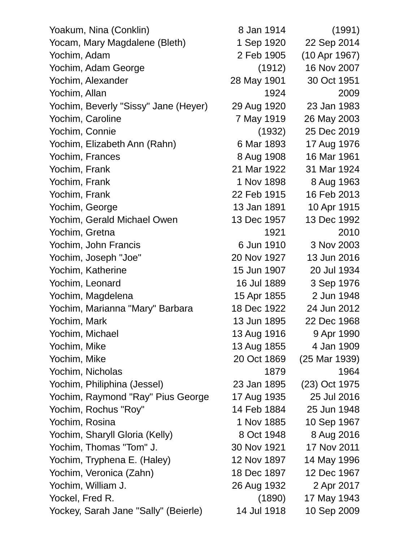| Yoakum, Nina (Conklin)               | 8 Jan 1914  | (1991)        |
|--------------------------------------|-------------|---------------|
| Yocam, Mary Magdalene (Bleth)        | 1 Sep 1920  | 22 Sep 2014   |
| Yochim, Adam                         | 2 Feb 1905  | (10 Apr 1967) |
| Yochim, Adam George                  | (1912)      | 16 Nov 2007   |
| Yochim, Alexander                    | 28 May 1901 | 30 Oct 1951   |
| Yochim, Allan                        | 1924        | 2009          |
| Yochim, Beverly "Sissy" Jane (Heyer) | 29 Aug 1920 | 23 Jan 1983   |
| Yochim, Caroline                     | 7 May 1919  | 26 May 2003   |
| Yochim, Connie                       | (1932)      | 25 Dec 2019   |
| Yochim, Elizabeth Ann (Rahn)         | 6 Mar 1893  | 17 Aug 1976   |
| Yochim, Frances                      | 8 Aug 1908  | 16 Mar 1961   |
| Yochim, Frank                        | 21 Mar 1922 | 31 Mar 1924   |
| Yochim, Frank                        | 1 Nov 1898  | 8 Aug 1963    |
| Yochim, Frank                        | 22 Feb 1915 | 16 Feb 2013   |
| Yochim, George                       | 13 Jan 1891 | 10 Apr 1915   |
| Yochim, Gerald Michael Owen          | 13 Dec 1957 | 13 Dec 1992   |
| Yochim, Gretna                       | 1921        | 2010          |
| Yochim, John Francis                 | 6 Jun 1910  | 3 Nov 2003    |
| Yochim, Joseph "Joe"                 | 20 Nov 1927 | 13 Jun 2016   |
| Yochim, Katherine                    | 15 Jun 1907 | 20 Jul 1934   |
| Yochim, Leonard                      | 16 Jul 1889 | 3 Sep 1976    |
| Yochim, Magdelena                    | 15 Apr 1855 | 2 Jun 1948    |
| Yochim, Marianna "Mary" Barbara      | 18 Dec 1922 | 24 Jun 2012   |
| Yochim, Mark                         | 13 Jun 1895 | 22 Dec 1968   |
| Yochim, Michael                      | 13 Aug 1916 | 9 Apr 1990    |
| Yochim, Mike                         | 13 Aug 1855 | 4 Jan 1909    |
| Yochim, Mike                         | 20 Oct 1869 | (25 Mar 1939) |
| Yochim, Nicholas                     | 1879        | 1964          |
| Yochim, Philiphina (Jessel)          | 23 Jan 1895 | (23) Oct 1975 |
| Yochim, Raymond "Ray" Pius George    | 17 Aug 1935 | 25 Jul 2016   |
| Yochim, Rochus "Roy"                 | 14 Feb 1884 | 25 Jun 1948   |
| Yochim, Rosina                       | 1 Nov 1885  | 10 Sep 1967   |
| Yochim, Sharyll Gloria (Kelly)       | 8 Oct 1948  | 8 Aug 2016    |
| Yochim, Thomas "Tom" J.              | 30 Nov 1921 | 17 Nov 2011   |
| Yochim, Tryphena E. (Haley)          | 12 Nov 1897 | 14 May 1996   |
| Yochim, Veronica (Zahn)              | 18 Dec 1897 | 12 Dec 1967   |
| Yochim, William J.                   | 26 Aug 1932 | 2 Apr 2017    |
| Yockel, Fred R.                      | (1890)      | 17 May 1943   |
| Yockey, Sarah Jane "Sally" (Beierle) | 14 Jul 1918 | 10 Sep 2009   |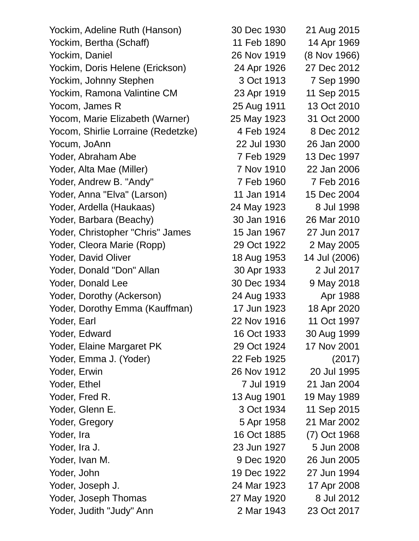| Yockim, Adeline Ruth (Hanson)      | 30 Dec 1930 | 21 Aug 2015   |
|------------------------------------|-------------|---------------|
| Yockim, Bertha (Schaff)            | 11 Feb 1890 | 14 Apr 1969   |
| Yockim, Daniel                     | 26 Nov 1919 | (8 Nov 1966)  |
| Yockim, Doris Helene (Erickson)    | 24 Apr 1926 | 27 Dec 2012   |
| Yockim, Johnny Stephen             | 3 Oct 1913  | 7 Sep 1990    |
| Yockim, Ramona Valintine CM        | 23 Apr 1919 | 11 Sep 2015   |
| Yocom, James R                     | 25 Aug 1911 | 13 Oct 2010   |
| Yocom, Marie Elizabeth (Warner)    | 25 May 1923 | 31 Oct 2000   |
| Yocom, Shirlie Lorraine (Redetzke) | 4 Feb 1924  | 8 Dec 2012    |
| Yocum, JoAnn                       | 22 Jul 1930 | 26 Jan 2000   |
| Yoder, Abraham Abe                 | 7 Feb 1929  | 13 Dec 1997   |
| Yoder, Alta Mae (Miller)           | 7 Nov 1910  | 22 Jan 2006   |
| Yoder, Andrew B. "Andy"            | 7 Feb 1960  | 7 Feb 2016    |
| Yoder, Anna "Elva" (Larson)        | 11 Jan 1914 | 15 Dec 2004   |
| Yoder, Ardella (Haukaas)           | 24 May 1923 | 8 Jul 1998    |
| Yoder, Barbara (Beachy)            | 30 Jan 1916 | 26 Mar 2010   |
| Yoder, Christopher "Chris" James   | 15 Jan 1967 | 27 Jun 2017   |
| Yoder, Cleora Marie (Ropp)         | 29 Oct 1922 | 2 May 2005    |
| Yoder, David Oliver                | 18 Aug 1953 | 14 Jul (2006) |
| Yoder, Donald "Don" Allan          | 30 Apr 1933 | 2 Jul 2017    |
| Yoder, Donald Lee                  | 30 Dec 1934 | 9 May 2018    |
| Yoder, Dorothy (Ackerson)          | 24 Aug 1933 | Apr 1988      |
| Yoder, Dorothy Emma (Kauffman)     | 17 Jun 1923 | 18 Apr 2020   |
| Yoder, Earl                        | 22 Nov 1916 | 11 Oct 1997   |
| Yoder, Edward                      | 16 Oct 1933 | 30 Aug 1999   |
| Yoder, Elaine Margaret PK          | 29 Oct 1924 | 17 Nov 2001   |
| Yoder, Emma J. (Yoder)             | 22 Feb 1925 | (2017)        |
| Yoder, Erwin                       | 26 Nov 1912 | 20 Jul 1995   |
| Yoder, Ethel                       | 7 Jul 1919  | 21 Jan 2004   |
| Yoder, Fred R.                     | 13 Aug 1901 | 19 May 1989   |
| Yoder, Glenn E.                    | 3 Oct 1934  | 11 Sep 2015   |
| Yoder, Gregory                     | 5 Apr 1958  | 21 Mar 2002   |
| Yoder, Ira                         | 16 Oct 1885 | (7) Oct 1968  |
| Yoder, Ira J.                      | 23 Jun 1927 | 5 Jun 2008    |
| Yoder, Ivan M.                     | 9 Dec 1920  | 26 Jun 2005   |
| Yoder, John                        | 19 Dec 1922 | 27 Jun 1994   |
| Yoder, Joseph J.                   | 24 Mar 1923 | 17 Apr 2008   |
| Yoder, Joseph Thomas               | 27 May 1920 | 8 Jul 2012    |
| Yoder, Judith "Judy" Ann           | 2 Mar 1943  | 23 Oct 2017   |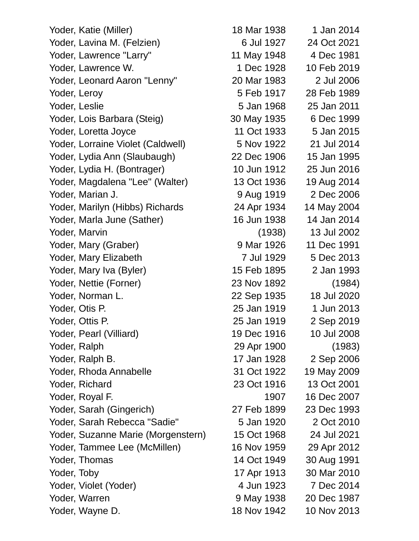Yoder, Katie (Miller) 18 Mar 1938 1 Jan 2014 Yoder, Lavina M. (Felzien) 6 Jul 1927 24 Oct 2021 Yoder, Lawrence "Larry" 11 May 1948 4 Dec 1981 Yoder, Lawrence W. 1 Dec 1928 10 Feb 2019 Yoder, Leonard Aaron "Lenny" 20 Mar 1983 2 Jul 2006 Yoder, Leroy 5 Feb 1917 28 Feb 1989 Yoder, Leslie 5 Jan 1968 25 Jan 2011 Yoder, Lois Barbara (Steig) 30 May 1935 6 Dec 1999 Yoder, Loretta Joyce 11 Oct 1933 5 Jan 2015 Yoder, Lorraine Violet (Caldwell) 5 Nov 1922 21 Jul 2014 Yoder, Lydia Ann (Slaubaugh) 22 Dec 1906 15 Jan 1995 Yoder, Lydia H. (Bontrager) 10 Jun 1912 25 Jun 2016 Yoder, Magdalena "Lee" (Walter) 13 Oct 1936 19 Aug 2014 Yoder, Marian J. 9 Aug 1919 2 Dec 2006 Yoder, Marilyn (Hibbs) Richards 24 Apr 1934 14 May 2004 Yoder, Marla June (Sather) 16 Jun 1938 14 Jan 2014 Yoder, Marvin (1938) 13 Jul 2002 Yoder, Mary (Graber) 9 Mar 1926 11 Dec 1991 Yoder, Mary Elizabeth 7 Jul 1929 5 Dec 2013 Yoder, Mary Iva (Byler) 15 Feb 1895 2 Jan 1993 Yoder, Nettie (Forner) 23 Nov 1892 (1984) Yoder, Norman L. 22 Sep 1935 18 Jul 2020 Yoder. Otis P. 25 Jan 1919 1 Jun 2013 Yoder, Ottis P. 25 Jan 1919 2 Sep 2019 Yoder, Pearl (Villiard) 19 Dec 1916 10 Jul 2008 Yoder, Ralph 29 Apr 1900 (1983) Yoder, Ralph B. 17 Jan 1928 2 Sep 2006 Yoder, Rhoda Annabelle 31 Oct 1922 19 May 2009 Yoder, Richard 23 Oct 1916 13 Oct 2001 Yoder, Royal F. 1907 16 Dec 2007 Yoder, Sarah (Gingerich) 27 Feb 1899 23 Dec 1993 Yoder, Sarah Rebecca "Sadie" 5 Jan 1920 2 Oct 2010 Yoder, Suzanne Marie (Morgenstern) 15 Oct 1968 24 Jul 2021 Yoder, Tammee Lee (McMillen) 16 Nov 1959 29 Apr 2012 Yoder, Thomas 14 Oct 1949 30 Aug 1991 Yoder, Toby 17 Apr 1913 30 Mar 2010 Yoder, Violet (Yoder) 4 Jun 1923 7 Dec 2014 Yoder, Warren 9 May 1938 20 Dec 1987

Yoder, Wayne D. 18 Nov 1942 10 Nov 2013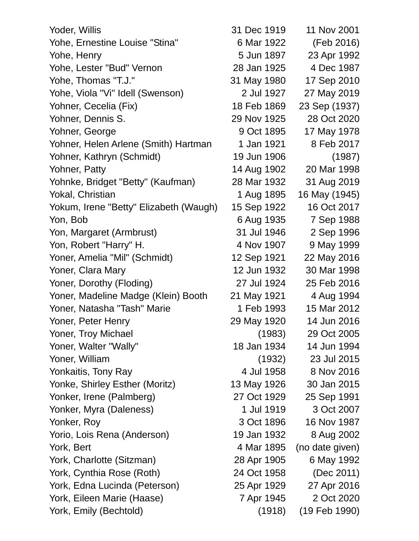Yoder, Willis 31 Dec 1919 11 Nov 2001 Yohe, Ernestine Louise "Stina" 6 Mar 1922 (Feb 2016) Yohe, Henry 5 Jun 1897 23 Apr 1992 Yohe, Lester "Bud" Vernon 28 Jan 1925 4 Dec 1987 Yohe, Thomas "T.J." 31 May 1980 17 Sep 2010 Yohe, Viola "Vi" Idell (Swenson) 2 Jul 1927 27 May 2019 Yohner, Cecelia (Fix) 18 Feb 1869 23 Sep (1937) Yohner, Dennis S. 29 Nov 1925 28 Oct 2020 Yohner, George 9 Oct 1895 17 May 1978 Yohner, Helen Arlene (Smith) Hartman 1 Jan 1921 8 Feb 2017 Yohner, Kathryn (Schmidt) 19 Jun 1906 (1987) Yohner, Patty 14 Aug 1902 20 Mar 1998 Yohnke, Bridget "Betty" (Kaufman) 28 Mar 1932 31 Aug 2019 Yokal, Christian 1 Aug 1895 16 May (1945) Yokum, Irene "Betty" Elizabeth (Waugh) 15 Sep 1922 16 Oct 2017 Yon, Bob 6 Aug 1935 7 Sep 1988 Yon, Margaret (Armbrust) 31 Jul 1946 2 Sep 1996 Yon, Robert "Harry" H. 4 Nov 1907 9 May 1999 Yoner, Amelia "Mil" (Schmidt) 12 Sep 1921 22 May 2016 Yoner, Clara Mary 12 Jun 1932 30 Mar 1998 Yoner, Dorothy (Floding) 27 Jul 1924 25 Feb 2016 Yoner, Madeline Madge (Klein) Booth 21 May 1921 4 Aug 1994 Yoner, Natasha "Tash" Marie 1 Feb 1993 15 Mar 2012 Yoner, Peter Henry 29 May 1920 14 Jun 2016 Yoner, Troy Michael (1983) 29 Oct 2005 Yoner, Walter "Wally" 18 Jan 1934 14 Jun 1994 Yoner, William (1932) 23 Jul 2015 Yonkaitis, Tony Ray 1958 8 Nov 2016 Yonke, Shirley Esther (Moritz) 13 May 1926 30 Jan 2015 Yonker, Irene (Palmberg) 27 Oct 1929 25 Sep 1991 Yonker, Myra (Daleness) 1 Jul 1919 3 Oct 2007 Yonker, Roy 3 Oct 1896 16 Nov 1987 Yorio, Lois Rena (Anderson) 19 Jan 1932 8 Aug 2002 York, Bert 2008 and 2008 and 2008 4 Mar 1895 (no date given) York, Charlotte (Sitzman) 28 Apr 1905 6 May 1992 York, Cynthia Rose (Roth) 24 Oct 1958 (Dec 2011) York, Edna Lucinda (Peterson) 25 Apr 1929 27 Apr 2016 York, Eileen Marie (Haase) 7 Apr 1945 2 Oct 2020 York, Emily (Bechtold) (1918) (19 Feb 1990)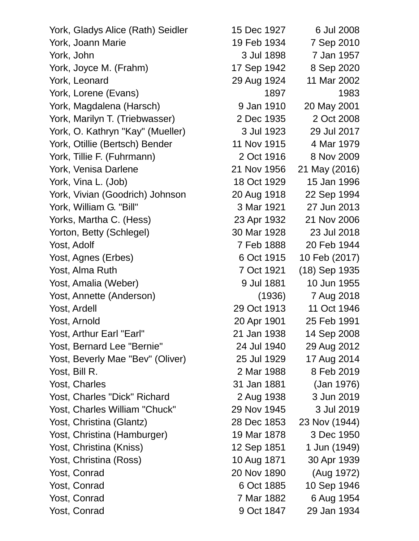York, Gladys Alice (Rath) Seidler 15 Dec 1927 6 Jul 2008 York, Joann Marie 19 Feb 1934 7 Sep 2010 York, John 3 Jul 1898 7 Jan 1957 York, Joyce M. (Frahm) 17 Sep 1942 8 Sep 2020 York, Leonard 29 Aug 1924 11 Mar 2002 York, Lorene (Evans) 1897 1983 York, Magdalena (Harsch) 9 Jan 1910 20 May 2001 York, Marilyn T. (Triebwasser) 2 Dec 1935 2 Oct 2008 York, O. Kathryn "Kay" (Mueller) 3 Jul 1923 29 Jul 2017 York, Otillie (Bertsch) Bender 11 Nov 1915 4 Mar 1979 York, Tillie F. (Fuhrmann) 2 Oct 1916 8 Nov 2009 York, Venisa Darlene 21 Nov 1956 21 May (2016) York, Vina L. (Job) 18 Oct 1929 15 Jan 1996 York, Vivian (Goodrich) Johnson 20 Aug 1918 22 Sep 1994 York, William G. "Bill" 3 Mar 1921 27 Jun 2013 Yorks, Martha C. (Hess) 23 Apr 1932 21 Nov 2006 Yorton, Betty (Schlegel) 30 Mar 1928 23 Jul 2018 Yost, Adolf 7 Feb 1888 20 Feb 1944 Yost, Agnes (Erbes) 6 Oct 1915 10 Feb (2017) Yost, Alma Ruth 7 Oct 1921 (18) Sep 1935 Yost, Amalia (Weber) 10 Jul 1881 10 Jun 1955 Yost, Annette (Anderson) (1936) 7 Aug 2018 Yost, Ardell 29 Oct 1913 11 Oct 1946 Yost, Arnold 20 Apr 1901 25 Feb 1991 Yost, Arthur Earl "Earl" 21 Jan 1938 14 Sep 2008 Yost, Bernard Lee "Bernie" 24 Jul 1940 29 Aug 2012 Yost, Beverly Mae "Bev" (Oliver) 25 Jul 1929 17 Aug 2014 Yost, Bill R. 2 Mar 1988 8 Feb 2019 Yost, Charles 31 Jan 1881 (Jan 1976) Yost, Charles "Dick" Richard 2 Aug 1938 3 Jun 2019 Yost, Charles William "Chuck" 29 Nov 1945 3 Jul 2019 Yost, Christina (Glantz) 28 Dec 1853 23 Nov (1944) Yost, Christina (Hamburger) 19 Mar 1878 3 Dec 1950 Yost, Christina (Kniss) 12 Sep 1851 1 Jun (1949) Yost, Christina (Ross) 10 Aug 1871 30 Apr 1939 Yost, Conrad 20 Nov 1890 (Aug 1972) Yost, Conrad 6 Oct 1885 10 Sep 1946 Yost, Conrad 7 Mar 1882 6 Aug 1954

Yost, Conrad 9 Oct 1847 29 Jan 1934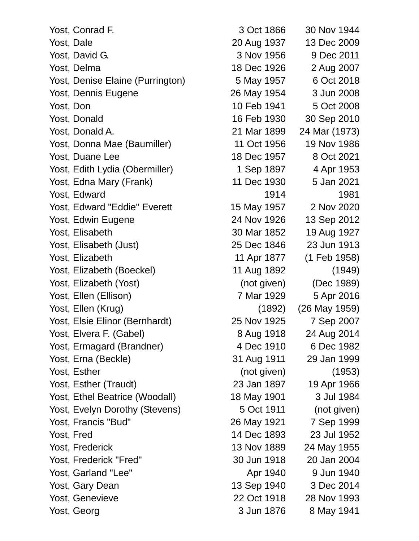| Yost, Conrad F.                  | 3 Oct 1866  | 30 Nov 1944   |
|----------------------------------|-------------|---------------|
| Yost, Dale                       | 20 Aug 1937 | 13 Dec 2009   |
| Yost, David G.                   | 3 Nov 1956  | 9 Dec 2011    |
| Yost, Delma                      | 18 Dec 1926 | 2 Aug 2007    |
| Yost, Denise Elaine (Purrington) | 5 May 1957  | 6 Oct 2018    |
| Yost, Dennis Eugene              | 26 May 1954 | 3 Jun 2008    |
| Yost, Don                        | 10 Feb 1941 | 5 Oct 2008    |
| Yost, Donald                     | 16 Feb 1930 | 30 Sep 2010   |
| Yost, Donald A.                  | 21 Mar 1899 | 24 Mar (1973) |
| Yost, Donna Mae (Baumiller)      | 11 Oct 1956 | 19 Nov 1986   |
| Yost, Duane Lee                  | 18 Dec 1957 | 8 Oct 2021    |
| Yost, Edith Lydia (Obermiller)   | 1 Sep 1897  | 4 Apr 1953    |
| Yost, Edna Mary (Frank)          | 11 Dec 1930 | 5 Jan 2021    |
| Yost, Edward                     | 1914        | 1981          |
| Yost, Edward "Eddie" Everett     | 15 May 1957 | 2 Nov 2020    |
| Yost, Edwin Eugene               | 24 Nov 1926 | 13 Sep 2012   |
| Yost, Elisabeth                  | 30 Mar 1852 | 19 Aug 1927   |
| Yost, Elisabeth (Just)           | 25 Dec 1846 | 23 Jun 1913   |
| Yost, Elizabeth                  | 11 Apr 1877 | (1 Feb 1958)  |
| Yost, Elizabeth (Boeckel)        | 11 Aug 1892 | (1949)        |
| Yost, Elizabeth (Yost)           | (not given) | (Dec 1989)    |
| Yost, Ellen (Ellison)            | 7 Mar 1929  | 5 Apr 2016    |
| Yost, Ellen (Krug)               | (1892)      | (26 May 1959) |
| Yost, Elsie Elinor (Bernhardt)   | 25 Nov 1925 | 7 Sep 2007    |
| Yost, Elvera F. (Gabel)          | 8 Aug 1918  | 24 Aug 2014   |
| Yost, Ermagard (Brandner)        | 4 Dec 1910  | 6 Dec 1982    |
| Yost, Erna (Beckle)              | 31 Aug 1911 | 29 Jan 1999   |
| Yost, Esther                     | (not given) | (1953)        |
| Yost, Esther (Traudt)            | 23 Jan 1897 | 19 Apr 1966   |
| Yost, Ethel Beatrice (Woodall)   | 18 May 1901 | 3 Jul 1984    |
| Yost, Evelyn Dorothy (Stevens)   | 5 Oct 1911  | (not given)   |
| Yost, Francis "Bud"              | 26 May 1921 | 7 Sep 1999    |
| Yost, Fred                       | 14 Dec 1893 | 23 Jul 1952   |
| Yost, Frederick                  | 13 Nov 1889 | 24 May 1955   |
| Yost, Frederick "Fred"           | 30 Jun 1918 | 20 Jan 2004   |
| Yost, Garland "Lee"              | Apr 1940    | 9 Jun 1940    |
| Yost, Gary Dean                  | 13 Sep 1940 | 3 Dec 2014    |
| Yost, Genevieve                  | 22 Oct 1918 | 28 Nov 1993   |
| Yost, Georg                      | 3 Jun 1876  | 8 May 1941    |
|                                  |             |               |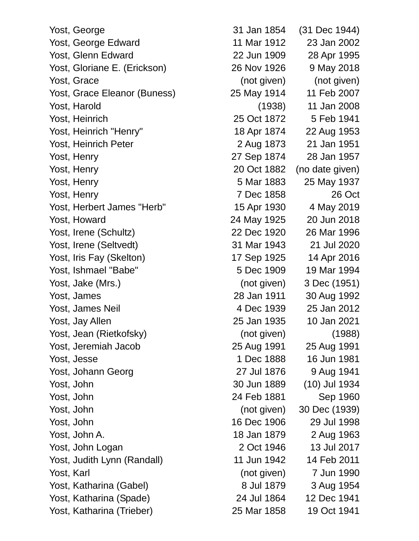Yost, George 31 Jan 1854 (31 Dec 1944) Yost, George Edward 11 Mar 1912 23 Jan 2002 Yost, Glenn Edward 22 Jun 1909 28 Apr 1995 Yost, Gloriane E. (Erickson) 26 Nov 1926 9 May 2018 Yost, Grace (not given) (not given) (not given) Yost, Grace Eleanor (Buness) 25 May 1914 11 Feb 2007 Yost, Harold (1938) 11 Jan 2008 Yost, Heinrich 25 Oct 1872 5 Feb 1941 Yost, Heinrich "Henry" 18 Apr 1874 22 Aug 1953 Yost, Heinrich Peter 2 Aug 1873 21 Jan 1951 Yost, Henry 27 Sep 1874 28 Jan 1957 Yost, Henry 20 Oct 1882 (no date given) Yost, Henry 5 Mar 1883 25 May 1937 Yost, Henry 26 Oct 26 Oct 26 Oct 26 Oct 26 Oct 26 Oct 26 Oct 26 Oct 26 Oct 26 Oct 26 Oct 26 Oct 26 Oct 26 Oct 26 Oct 26 Oct 26 Oct 26 Oct 26 Oct 26 Oct 26 Oct 26 Oct 26 Oct 26 Oct 26 Oct 26 Oct 26 Oct 27 Oct 27 Oct 27 Oct Yost, Herbert James "Herb" 15 Apr 1930 4 May 2019 Yost, Howard 24 May 1925 20 Jun 2018 Yost, Irene (Schultz) 22 Dec 1920 26 Mar 1996 Yost, Irene (Seltvedt) 31 Mar 1943 21 Jul 2020 Yost, Iris Fay (Skelton) 17 Sep 1925 14 Apr 2016 Yost, Ishmael "Babe" 5 Dec 1909 19 Mar 1994 Yost, Jake (Mrs.) (not given) 3 Dec (1951) Yost, James 28 Jan 1911 30 Aug 1992 Yost, James Neil 4 Dec 1939 25 Jan 2012 Yost, Jay Allen 25 Jan 1935 10 Jan 2021 Yost, Jean (Rietkofsky) (not given) (1988) Yost, Jeremiah Jacob 25 Aug 1991 25 Aug 1991 Yost, Jesse 1 Dec 1888 16 Jun 1981 Yost, Johann Georg 27 Jul 1876 9 Aug 1941 Yost, John 30 Jun 1889 (10) Jul 1934 Yost, John 24 Feb 1881 Sep 1960 Yost, John (not given) 30 Dec (1939) Yost, John 16 Dec 1906 29 Jul 1998 Yost, John A. 18 Jan 1879 2 Aug 1963 Yost, John Logan 2 Oct 1946 13 Jul 2017 Yost, Judith Lynn (Randall) 11 Jun 1942 14 Feb 2011 Yost, Karl (not given) 7 Jun 1990 Yost, Katharina (Gabel) 8 Jul 1879 3 Aug 1954 Yost, Katharina (Spade) 24 Jul 1864 12 Dec 1941 Yost, Katharina (Trieber) 25 Mar 1858 19 Oct 1941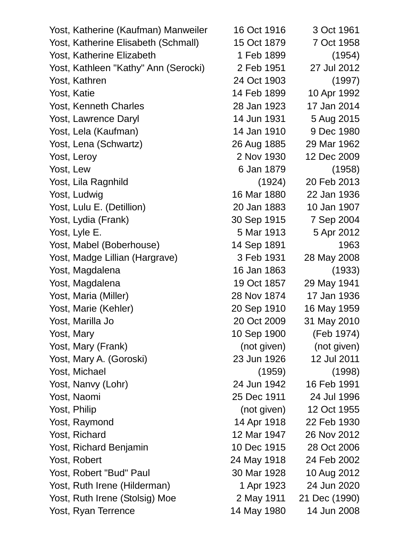| Yost, Katherine (Kaufman) Manweiler  | 16 Oct 1916 | 3 Oct 1961    |
|--------------------------------------|-------------|---------------|
| Yost, Katherine Elisabeth (Schmall)  | 15 Oct 1879 | 7 Oct 1958    |
| Yost, Katherine Elizabeth            | 1 Feb 1899  | (1954)        |
| Yost, Kathleen "Kathy" Ann (Serocki) | 2 Feb 1951  | 27 Jul 2012   |
| Yost, Kathren                        | 24 Oct 1903 | (1997)        |
| Yost, Katie                          | 14 Feb 1899 | 10 Apr 1992   |
| Yost, Kenneth Charles                | 28 Jan 1923 | 17 Jan 2014   |
| Yost, Lawrence Daryl                 | 14 Jun 1931 | 5 Aug 2015    |
| Yost, Lela (Kaufman)                 | 14 Jan 1910 | 9 Dec 1980    |
| Yost, Lena (Schwartz)                | 26 Aug 1885 | 29 Mar 1962   |
| Yost, Leroy                          | 2 Nov 1930  | 12 Dec 2009   |
| Yost, Lew                            | 6 Jan 1879  | (1958)        |
| Yost, Lila Ragnhild                  | (1924)      | 20 Feb 2013   |
| Yost, Ludwig                         | 16 Mar 1880 | 22 Jan 1936   |
| Yost, Lulu E. (Detillion)            | 20 Jan 1883 | 10 Jan 1907   |
| Yost, Lydia (Frank)                  | 30 Sep 1915 | 7 Sep 2004    |
| Yost, Lyle E.                        | 5 Mar 1913  | 5 Apr 2012    |
| Yost, Mabel (Boberhouse)             | 14 Sep 1891 | 1963          |
| Yost, Madge Lillian (Hargrave)       | 3 Feb 1931  | 28 May 2008   |
| Yost, Magdalena                      | 16 Jan 1863 | (1933)        |
| Yost, Magdalena                      | 19 Oct 1857 | 29 May 1941   |
| Yost, Maria (Miller)                 | 28 Nov 1874 | 17 Jan 1936   |
| Yost, Marie (Kehler)                 | 20 Sep 1910 | 16 May 1959   |
| Yost, Marilla Jo                     | 20 Oct 2009 | 31 May 2010   |
| Yost, Mary                           | 10 Sep 1900 | (Feb 1974)    |
| Yost, Mary (Frank)                   | (not given) | (not given)   |
| Yost, Mary A. (Goroski)              | 23 Jun 1926 | 12 Jul 2011   |
| Yost, Michael                        | (1959)      | (1998)        |
| Yost, Nanvy (Lohr)                   | 24 Jun 1942 | 16 Feb 1991   |
| Yost, Naomi                          | 25 Dec 1911 | 24 Jul 1996   |
| Yost, Philip                         | (not given) | 12 Oct 1955   |
| Yost, Raymond                        | 14 Apr 1918 | 22 Feb 1930   |
| Yost, Richard                        | 12 Mar 1947 | 26 Nov 2012   |
| Yost, Richard Benjamin               | 10 Dec 1915 | 28 Oct 2006   |
| Yost, Robert                         | 24 May 1918 | 24 Feb 2002   |
| Yost, Robert "Bud" Paul              | 30 Mar 1928 | 10 Aug 2012   |
| Yost, Ruth Irene (Hilderman)         | 1 Apr 1923  | 24 Jun 2020   |
| Yost, Ruth Irene (Stolsig) Moe       | 2 May 1911  | 21 Dec (1990) |
| Yost, Ryan Terrence                  | 14 May 1980 | 14 Jun 2008   |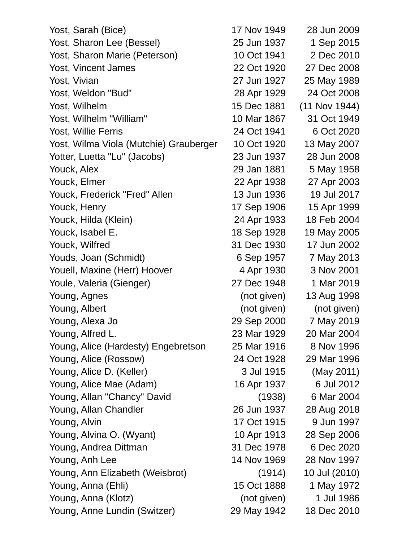| Yost, Sarah (Bice)                     | 17 Nov 1949 | 28 Jun 2009   |
|----------------------------------------|-------------|---------------|
| Yost, Sharon Lee (Bessel)              | 25 Jun 1937 | 1 Sep 2015    |
| Yost, Sharon Marie (Peterson)          | 10 Oct 1941 | 2 Dec 2010    |
| Yost, Vincent James                    | 22 Oct 1920 | 27 Dec 2008   |
| Yost, Vivian                           | 27 Jun 1927 | 25 May 1989   |
| Yost, Weldon "Bud"                     | 28 Apr 1929 | 24 Oct 2008   |
| Yost, Wilhelm                          | 15 Dec 1881 | (11 Nov 1944) |
| Yost, Wilhelm "William"                | 10 Mar 1867 | 31 Oct 1949   |
| Yost, Willie Ferris                    | 24 Oct 1941 | 6 Oct 2020    |
| Yost, Wilma Viola (Mutchie) Grauberger | 10 Oct 1920 | 13 May 2007   |
| Yotter, Luetta "Lu" (Jacobs)           | 23 Jun 1937 | 28 Jun 2008   |
| Youck, Alex                            | 29 Jan 1881 | 5 May 1958    |
| Youck, Elmer                           | 22 Apr 1938 | 27 Apr 2003   |
| Youck, Frederick "Fred" Allen          | 13 Jun 1936 | 19 Jul 2017   |
| Youck, Henry                           | 17 Sep 1906 | 15 Apr 1999   |
| Youck, Hilda (Klein)                   | 24 Apr 1933 | 18 Feb 2004   |
| Youck, Isabel E.                       | 18 Sep 1928 | 19 May 2005   |
| Youck, Wilfred                         | 31 Dec 1930 | 17 Jun 2002   |
| Youds, Joan (Schmidt)                  | 6 Sep 1957  | 7 May 2013    |
| Youell, Maxine (Herr) Hoover           | 4 Apr 1930  | 3 Nov 2001    |
| Youle, Valeria (Gienger)               | 27 Dec 1948 | 1 Mar 2019    |
| Young, Agnes                           | (not given) | 13 Aug 1998   |
| Young, Albert                          | (not given) | (not given)   |
| Young, Alexa Jo                        | 29 Sep 2000 | 7 May 2019    |
| Young, Alfred L.                       | 23 Mar 1929 | 20 Mar 2004   |
| Young, Alice (Hardesty) Engebretson    | 25 Mar 1916 | 8 Nov 1996    |
| Young, Alice (Rossow)                  | 24 Oct 1928 | 29 Mar 1996   |
| Young, Alice D. (Keller)               | 3 Jul 1915  | (May 2011)    |
| Young, Alice Mae (Adam)                | 16 Apr 1937 | 6 Jul 2012    |
| Young, Allan "Chancy" David            | (1938)      | 6 Mar 2004    |
| Young, Allan Chandler                  | 26 Jun 1937 | 28 Aug 2018   |
| Young, Alvin                           | 17 Oct 1915 | 9 Jun 1997    |
| Young, Alvina O. (Wyant)               | 10 Apr 1913 | 28 Sep 2006   |
| Young, Andrea Dittman                  | 31 Dec 1978 | 6 Dec 2020    |
| Young, Anh Lee                         | 14 Nov 1969 | 28 Nov 1997   |
| Young, Ann Elizabeth (Weisbrot)        | (1914)      | 10 Jul (2010) |
| Young, Anna (Ehli)                     | 15 Oct 1888 | 1 May 1972    |
| Young, Anna (Klotz)                    | (not given) | 1 Jul 1986    |
| Young, Anne Lundin (Switzer)           | 29 May 1942 | 18 Dec 2010   |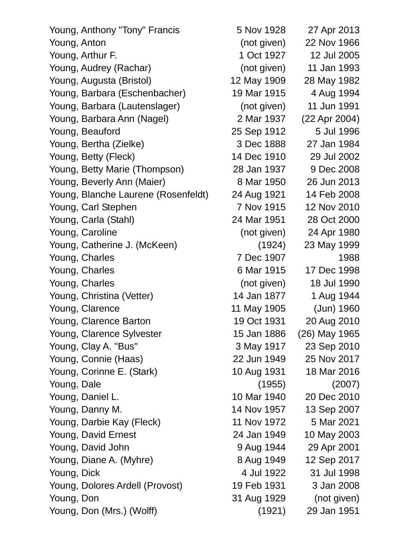Young, Anthony "Tony" Francis 5 Nov 1928 27 Apr 2013 Young, Anton (not given) 22 Nov 1966 Young, Arthur F. 1 Oct 1927 12 Jul 2005 Young, Audrey (Rachar) (not given) 11 Jan 1993 Young, Augusta (Bristol) 12 May 1909 28 May 1982 Young, Barbara (Eschenbacher) 19 Mar 1915 4 Aug 1994 Young, Barbara (Lautenslager) (not given) 11 Jun 1991 Young, Barbara Ann (Nagel) 2 Mar 1937 (22 Apr 2004) Young, Beauford 25 Sep 1912 5 Jul 1996 Young, Bertha (Zielke) 3 Dec 1888 27 Jan 1984 Young, Betty (Fleck) 14 Dec 1910 29 Jul 2002 Young, Betty Marie (Thompson) 28 Jan 1937 9 Dec 2008 Young, Beverly Ann (Maier) 8 Mar 1950 26 Jun 2013 Young, Blanche Laurene (Rosenfeldt) 24 Aug 1921 14 Feb 2008 Young, Carl Stephen 7 Nov 1915 12 Nov 2010 Young, Carla (Stahl) 24 Mar 1951 28 Oct 2000 Young, Caroline (not given) 24 Apr 1980 Young, Catherine J. (McKeen) (1924) 23 May 1999 Young, Charles **7 Dec 1907** 1988 Young, Charles 6 Mar 1915 17 Dec 1998 Young, Charles (not given) 18 Jul 1990 Young, Christina (Vetter) 14 Jan 1877 1 Aug 1944 Young, Clarence 11 May 1905 (Jun) 1960 Young, Clarence Barton 19 Oct 1931 20 Aug 2010 Young, Clarence Sylvester 15 Jan 1886 (26) May 1965 Young, Clay A. "Bus" 3 May 1917 23 Sep 2010 Young, Connie (Haas) 22 Jun 1949 25 Nov 2017 Young, Corinne E. (Stark) 10 Aug 1931 18 Mar 2016 Young, Dale (1955) (2007) Young, Daniel L. 10 Mar 1940 20 Dec 2010 Young, Danny M. 14 Nov 1957 13 Sep 2007 Young, Darbie Kay (Fleck) 11 Nov 1972 5 Mar 2021 Young, David Ernest 24 Jan 1949 10 May 2003 Young, David John 9 Aug 1944 29 Apr 2001 Young, Diane A. (Myhre) 8 Aug 1949 12 Sep 2017 Young, Dick 4 Jul 1922 31 Jul 1998 Young, Dolores Ardell (Provost) 19 Feb 1931 3 Jan 2008 Young, Don 31 Aug 1929 (not given) Young, Don (Mrs.) (Wolff) (1921) 29 Jan 1951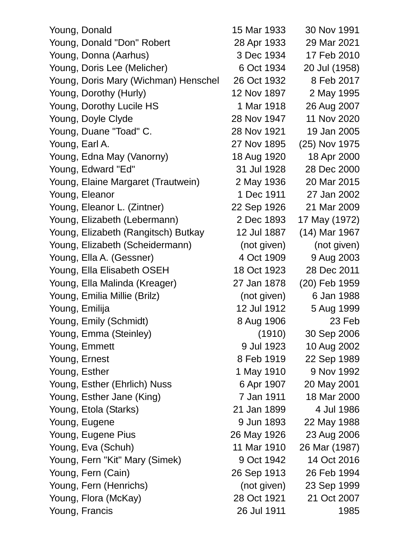| Young, Donald                        | 15 Mar 1933 | 30 Nov 1991   |
|--------------------------------------|-------------|---------------|
| Young, Donald "Don" Robert           | 28 Apr 1933 | 29 Mar 2021   |
| Young, Donna (Aarhus)                | 3 Dec 1934  | 17 Feb 2010   |
| Young, Doris Lee (Melicher)          | 6 Oct 1934  | 20 Jul (1958) |
| Young, Doris Mary (Wichman) Henschel | 26 Oct 1932 | 8 Feb 2017    |
| Young, Dorothy (Hurly)               | 12 Nov 1897 | 2 May 1995    |
| Young, Dorothy Lucile HS             | 1 Mar 1918  | 26 Aug 2007   |
| Young, Doyle Clyde                   | 28 Nov 1947 | 11 Nov 2020   |
| Young, Duane "Toad" C.               | 28 Nov 1921 | 19 Jan 2005   |
| Young, Earl A.                       | 27 Nov 1895 | (25) Nov 1975 |
| Young, Edna May (Vanorny)            | 18 Aug 1920 | 18 Apr 2000   |
| Young, Edward "Ed"                   | 31 Jul 1928 | 28 Dec 2000   |
| Young, Elaine Margaret (Trautwein)   | 2 May 1936  | 20 Mar 2015   |
| Young, Eleanor                       | 1 Dec 1911  | 27 Jan 2002   |
| Young, Eleanor L. (Zintner)          | 22 Sep 1926 | 21 Mar 2009   |
| Young, Elizabeth (Lebermann)         | 2 Dec 1893  | 17 May (1972) |
| Young, Elizabeth (Rangitsch) Butkay  | 12 Jul 1887 | (14) Mar 1967 |
| Young, Elizabeth (Scheidermann)      | (not given) | (not given)   |
| Young, Ella A. (Gessner)             | 4 Oct 1909  | 9 Aug 2003    |
| Young, Ella Elisabeth OSEH           | 18 Oct 1923 | 28 Dec 2011   |
| Young, Ella Malinda (Kreager)        | 27 Jan 1878 | (20) Feb 1959 |
| Young, Emilia Millie (Brilz)         | (not given) | 6 Jan 1988    |
| Young, Emilija                       | 12 Jul 1912 | 5 Aug 1999    |
| Young, Emily (Schmidt)               | 8 Aug 1906  | 23 Feb        |
| Young, Emma (Steinley)               | (1910)      | 30 Sep 2006   |
| Young, Emmett                        | 9 Jul 1923  | 10 Aug 2002   |
| Young, Ernest                        | 8 Feb 1919  | 22 Sep 1989   |
| Young, Esther                        | 1 May 1910  | 9 Nov 1992    |
| Young, Esther (Ehrlich) Nuss         | 6 Apr 1907  | 20 May 2001   |
| Young, Esther Jane (King)            | 7 Jan 1911  | 18 Mar 2000   |
| Young, Etola (Starks)                | 21 Jan 1899 | 4 Jul 1986    |
| Young, Eugene                        | 9 Jun 1893  | 22 May 1988   |
| Young, Eugene Pius                   | 26 May 1926 | 23 Aug 2006   |
| Young, Eva (Schuh)                   | 11 Mar 1910 | 26 Mar (1987) |
| Young, Fern "Kit" Mary (Simek)       | 9 Oct 1942  | 14 Oct 2016   |
| Young, Fern (Cain)                   | 26 Sep 1913 | 26 Feb 1994   |
| Young, Fern (Henrichs)               | (not given) | 23 Sep 1999   |
| Young, Flora (McKay)                 | 28 Oct 1921 | 21 Oct 2007   |
| Young, Francis                       | 26 Jul 1911 | 1985          |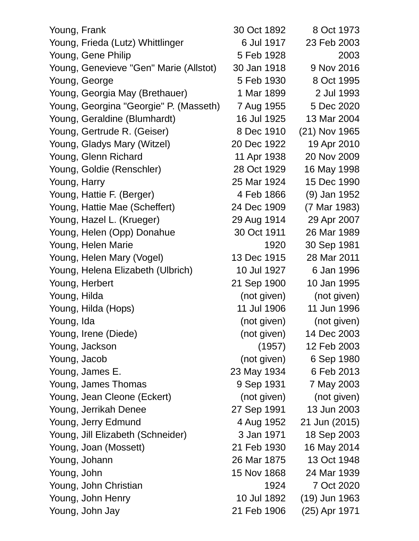| Young, Frank                           | 30 Oct 1892 | 8 Oct 1973    |
|----------------------------------------|-------------|---------------|
| Young, Frieda (Lutz) Whittlinger       | 6 Jul 1917  | 23 Feb 2003   |
| Young, Gene Philip                     | 5 Feb 1928  | 2003          |
| Young, Genevieve "Gen" Marie (Allstot) | 30 Jan 1918 | 9 Nov 2016    |
| Young, George                          | 5 Feb 1930  | 8 Oct 1995    |
| Young, Georgia May (Brethauer)         | 1 Mar 1899  | 2 Jul 1993    |
| Young, Georgina "Georgie" P. (Masseth) | 7 Aug 1955  | 5 Dec 2020    |
| Young, Geraldine (Blumhardt)           | 16 Jul 1925 | 13 Mar 2004   |
| Young, Gertrude R. (Geiser)            | 8 Dec 1910  | (21) Nov 1965 |
| Young, Gladys Mary (Witzel)            | 20 Dec 1922 | 19 Apr 2010   |
| Young, Glenn Richard                   | 11 Apr 1938 | 20 Nov 2009   |
| Young, Goldie (Renschler)              | 28 Oct 1929 | 16 May 1998   |
| Young, Harry                           | 25 Mar 1924 | 15 Dec 1990   |
| Young, Hattie F. (Berger)              | 4 Feb 1866  | (9) Jan 1952  |
| Young, Hattie Mae (Scheffert)          | 24 Dec 1909 | (7 Mar 1983)  |
| Young, Hazel L. (Krueger)              | 29 Aug 1914 | 29 Apr 2007   |
| Young, Helen (Opp) Donahue             | 30 Oct 1911 | 26 Mar 1989   |
| Young, Helen Marie                     | 1920        | 30 Sep 1981   |
| Young, Helen Mary (Vogel)              | 13 Dec 1915 | 28 Mar 2011   |
| Young, Helena Elizabeth (Ulbrich)      | 10 Jul 1927 | 6 Jan 1996    |
| Young, Herbert                         | 21 Sep 1900 | 10 Jan 1995   |
| Young, Hilda                           | (not given) | (not given)   |
| Young, Hilda (Hops)                    | 11 Jul 1906 | 11 Jun 1996   |
| Young, Ida                             | (not given) | (not given)   |
| Young, Irene (Diede)                   | (not given) | 14 Dec 2003   |
| Young, Jackson                         | (1957)      | 12 Feb 2003   |
| Young, Jacob                           | (not given) | 6 Sep 1980    |
| Young, James E.                        | 23 May 1934 | 6 Feb 2013    |
| Young, James Thomas                    | 9 Sep 1931  | 7 May 2003    |
| Young, Jean Cleone (Eckert)            | (not given) | (not given)   |
| Young, Jerrikah Denee                  | 27 Sep 1991 | 13 Jun 2003   |
| Young, Jerry Edmund                    | 4 Aug 1952  | 21 Jun (2015) |
| Young, Jill Elizabeth (Schneider)      | 3 Jan 1971  | 18 Sep 2003   |
| Young, Joan (Mossett)                  | 21 Feb 1930 | 16 May 2014   |
| Young, Johann                          | 26 Mar 1875 | 13 Oct 1948   |
| Young, John                            | 15 Nov 1868 | 24 Mar 1939   |
| Young, John Christian                  | 1924        | 7 Oct 2020    |
| Young, John Henry                      | 10 Jul 1892 | (19) Jun 1963 |
| Young, John Jay                        | 21 Feb 1906 | (25) Apr 1971 |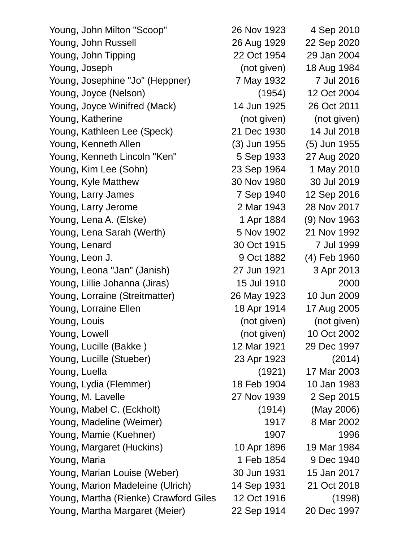| Young, John Milton "Scoop"            | 26 Nov 1923  | 4 Sep 2010   |
|---------------------------------------|--------------|--------------|
| Young, John Russell                   | 26 Aug 1929  | 22 Sep 2020  |
| Young, John Tipping                   | 22 Oct 1954  | 29 Jan 2004  |
| Young, Joseph                         | (not given)  | 18 Aug 1984  |
| Young, Josephine "Jo" (Heppner)       | 7 May 1932   | 7 Jul 2016   |
| Young, Joyce (Nelson)                 | (1954)       | 12 Oct 2004  |
| Young, Joyce Winifred (Mack)          | 14 Jun 1925  | 26 Oct 2011  |
| Young, Katherine                      | (not given)  | (not given)  |
| Young, Kathleen Lee (Speck)           | 21 Dec 1930  | 14 Jul 2018  |
| Young, Kenneth Allen                  | (3) Jun 1955 | (5) Jun 1955 |
| Young, Kenneth Lincoln "Ken"          | 5 Sep 1933   | 27 Aug 2020  |
| Young, Kim Lee (Sohn)                 | 23 Sep 1964  | 1 May 2010   |
| Young, Kyle Matthew                   | 30 Nov 1980  | 30 Jul 2019  |
| Young, Larry James                    | 7 Sep 1940   | 12 Sep 2016  |
| Young, Larry Jerome                   | 2 Mar 1943   | 28 Nov 2017  |
| Young, Lena A. (Elske)                | 1 Apr 1884   | (9) Nov 1963 |
| Young, Lena Sarah (Werth)             | 5 Nov 1902   | 21 Nov 1992  |
| Young, Lenard                         | 30 Oct 1915  | 7 Jul 1999   |
| Young, Leon J.                        | 9 Oct 1882   | (4) Feb 1960 |
| Young, Leona "Jan" (Janish)           | 27 Jun 1921  | 3 Apr 2013   |
| Young, Lillie Johanna (Jiras)         | 15 Jul 1910  | 2000         |
| Young, Lorraine (Streitmatter)        | 26 May 1923  | 10 Jun 2009  |
| Young, Lorraine Ellen                 | 18 Apr 1914  | 17 Aug 2005  |
| Young, Louis                          | (not given)  | (not given)  |
| Young, Lowell                         | (not given)  | 10 Oct 2002  |
| Young, Lucille (Bakke)                | 12 Mar 1921  | 29 Dec 1997  |
| Young, Lucille (Stueber)              | 23 Apr 1923  | (2014)       |
| Young, Luella                         | (1921)       | 17 Mar 2003  |
| Young, Lydia (Flemmer)                | 18 Feb 1904  | 10 Jan 1983  |
| Young, M. Lavelle                     | 27 Nov 1939  | 2 Sep 2015   |
| Young, Mabel C. (Eckholt)             | (1914)       | (May 2006)   |
| Young, Madeline (Weimer)              | 1917         | 8 Mar 2002   |
| Young, Mamie (Kuehner)                | 1907         | 1996         |
| Young, Margaret (Huckins)             | 10 Apr 1896  | 19 Mar 1984  |
| Young, Maria                          | 1 Feb 1854   | 9 Dec 1940   |
| Young, Marian Louise (Weber)          | 30 Jun 1931  | 15 Jan 2017  |
| Young, Marion Madeleine (Ulrich)      | 14 Sep 1931  | 21 Oct 2018  |
| Young, Martha (Rienke) Crawford Giles | 12 Oct 1916  | (1998)       |
| Young, Martha Margaret (Meier)        | 22 Sep 1914  | 20 Dec 1997  |
|                                       |              |              |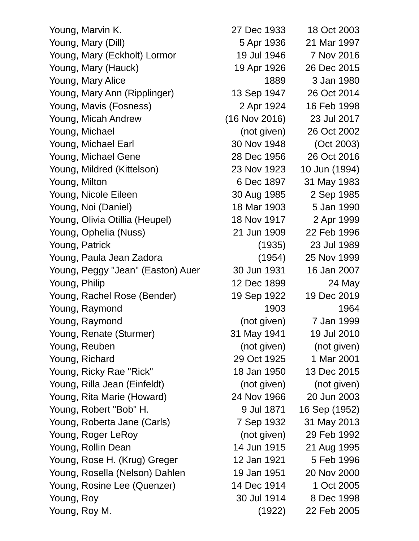| Young, Marvin K.                  | 27 Dec 1933   | 18 Oct 2003   |
|-----------------------------------|---------------|---------------|
| Young, Mary (Dill)                | 5 Apr 1936    | 21 Mar 1997   |
| Young, Mary (Eckholt) Lormor      | 19 Jul 1946   | 7 Nov 2016    |
| Young, Mary (Hauck)               | 19 Apr 1926   | 26 Dec 2015   |
| Young, Mary Alice                 | 1889          | 3 Jan 1980    |
| Young, Mary Ann (Ripplinger)      | 13 Sep 1947   | 26 Oct 2014   |
| Young, Mavis (Fosness)            | 2 Apr 1924    | 16 Feb 1998   |
| Young, Micah Andrew               | (16 Nov 2016) | 23 Jul 2017   |
| Young, Michael                    | (not given)   | 26 Oct 2002   |
| Young, Michael Earl               | 30 Nov 1948   | (Oct 2003)    |
| Young, Michael Gene               | 28 Dec 1956   | 26 Oct 2016   |
| Young, Mildred (Kittelson)        | 23 Nov 1923   | 10 Jun (1994) |
| Young, Milton                     | 6 Dec 1897    | 31 May 1983   |
| Young, Nicole Eileen              | 30 Aug 1985   | 2 Sep 1985    |
| Young, Noi (Daniel)               | 18 Mar 1903   | 5 Jan 1990    |
| Young, Olivia Otillia (Heupel)    | 18 Nov 1917   | 2 Apr 1999    |
| Young, Ophelia (Nuss)             | 21 Jun 1909   | 22 Feb 1996   |
| Young, Patrick                    | (1935)        | 23 Jul 1989   |
| Young, Paula Jean Zadora          | (1954)        | 25 Nov 1999   |
| Young, Peggy "Jean" (Easton) Auer | 30 Jun 1931   | 16 Jan 2007   |
| Young, Philip                     | 12 Dec 1899   | 24 May        |
| Young, Rachel Rose (Bender)       | 19 Sep 1922   | 19 Dec 2019   |
| Young, Raymond                    | 1903          | 1964          |
| Young, Raymond                    | (not given)   | 7 Jan 1999    |
| Young, Renate (Sturmer)           | 31 May 1941   | 19 Jul 2010   |
| Young, Reuben                     | (not given)   | (not given)   |
| Young, Richard                    | 29 Oct 1925   | 1 Mar 2001    |
| Young, Ricky Rae "Rick"           | 18 Jan 1950   | 13 Dec 2015   |
| Young, Rilla Jean (Einfeldt)      | (not given)   | (not given)   |
| Young, Rita Marie (Howard)        | 24 Nov 1966   | 20 Jun 2003   |
| Young, Robert "Bob" H.            | 9 Jul 1871    | 16 Sep (1952) |
| Young, Roberta Jane (Carls)       | 7 Sep 1932    | 31 May 2013   |
| Young, Roger LeRoy                | (not given)   | 29 Feb 1992   |
| Young, Rollin Dean                | 14 Jun 1915   | 21 Aug 1995   |
| Young, Rose H. (Krug) Greger      | 12 Jan 1921   | 5 Feb 1996    |
| Young, Rosella (Nelson) Dahlen    | 19 Jan 1951   | 20 Nov 2000   |
| Young, Rosine Lee (Quenzer)       | 14 Dec 1914   | 1 Oct 2005    |
| Young, Roy                        | 30 Jul 1914   | 8 Dec 1998    |
| Young, Roy M.                     | (1922)        | 22 Feb 2005   |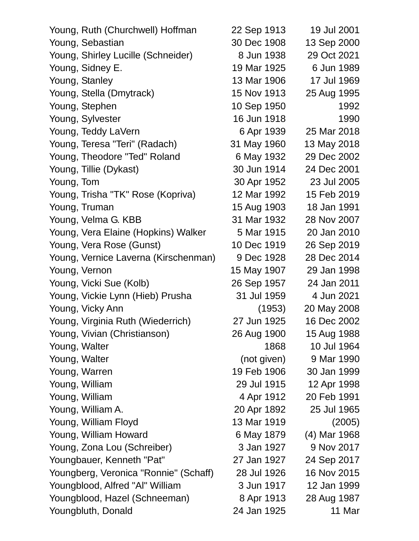| Young, Ruth (Churchwell) Hoffman      | 22 Sep 1913 | 19 Jul 2001  |
|---------------------------------------|-------------|--------------|
| Young, Sebastian                      | 30 Dec 1908 | 13 Sep 2000  |
| Young, Shirley Lucille (Schneider)    | 8 Jun 1938  | 29 Oct 2021  |
| Young, Sidney E.                      | 19 Mar 1925 | 6 Jun 1989   |
| Young, Stanley                        | 13 Mar 1906 | 17 Jul 1969  |
| Young, Stella (Dmytrack)              | 15 Nov 1913 | 25 Aug 1995  |
| Young, Stephen                        | 10 Sep 1950 | 1992         |
| Young, Sylvester                      | 16 Jun 1918 | 1990         |
| Young, Teddy LaVern                   | 6 Apr 1939  | 25 Mar 2018  |
| Young, Teresa "Teri" (Radach)         | 31 May 1960 | 13 May 2018  |
| Young, Theodore "Ted" Roland          | 6 May 1932  | 29 Dec 2002  |
| Young, Tillie (Dykast)                | 30 Jun 1914 | 24 Dec 2001  |
| Young, Tom                            | 30 Apr 1952 | 23 Jul 2005  |
| Young, Trisha "TK" Rose (Kopriva)     | 12 Mar 1992 | 15 Feb 2019  |
| Young, Truman                         | 15 Aug 1903 | 18 Jan 1991  |
| Young, Velma G. KBB                   | 31 Mar 1932 | 28 Nov 2007  |
| Young, Vera Elaine (Hopkins) Walker   | 5 Mar 1915  | 20 Jan 2010  |
| Young, Vera Rose (Gunst)              | 10 Dec 1919 | 26 Sep 2019  |
| Young, Vernice Laverna (Kirschenman)  | 9 Dec 1928  | 28 Dec 2014  |
| Young, Vernon                         | 15 May 1907 | 29 Jan 1998  |
| Young, Vicki Sue (Kolb)               | 26 Sep 1957 | 24 Jan 2011  |
| Young, Vickie Lynn (Hieb) Prusha      | 31 Jul 1959 | 4 Jun 2021   |
| Young, Vicky Ann                      | (1953)      | 20 May 2008  |
| Young, Virginia Ruth (Wiederrich)     | 27 Jun 1925 | 16 Dec 2002  |
| Young, Vivian (Christianson)          | 26 Aug 1900 | 15 Aug 1988  |
| Young, Walter                         | 1868        | 10 Jul 1964  |
| Young, Walter                         | (not given) | 9 Mar 1990   |
| Young, Warren                         | 19 Feb 1906 | 30 Jan 1999  |
| Young, William                        | 29 Jul 1915 | 12 Apr 1998  |
| Young, William                        | 4 Apr 1912  | 20 Feb 1991  |
| Young, William A.                     | 20 Apr 1892 | 25 Jul 1965  |
| Young, William Floyd                  | 13 Mar 1919 | (2005)       |
| Young, William Howard                 | 6 May 1879  | (4) Mar 1968 |
| Young, Zona Lou (Schreiber)           | 3 Jan 1927  | 9 Nov 2017   |
| Youngbauer, Kenneth "Pat"             | 27 Jan 1927 | 24 Sep 2017  |
| Youngberg, Veronica "Ronnie" (Schaff) | 28 Jul 1926 | 16 Nov 2015  |
| Youngblood, Alfred "Al" William       | 3 Jun 1917  | 12 Jan 1999  |
| Youngblood, Hazel (Schneeman)         | 8 Apr 1913  | 28 Aug 1987  |
| Youngbluth, Donald                    | 24 Jan 1925 | 11 Mar       |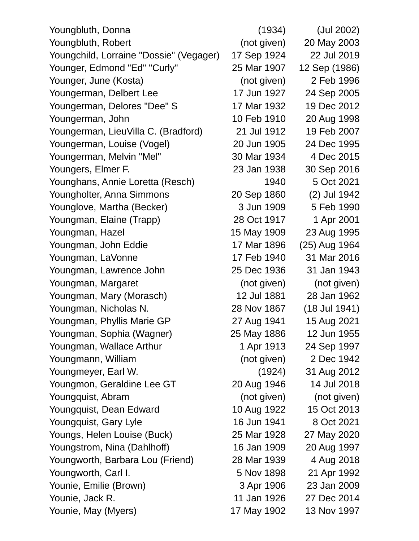| Youngbluth, Donna                       | (1934)      | (Jul 2002)        |
|-----------------------------------------|-------------|-------------------|
| Youngbluth, Robert                      | (not given) | 20 May 2003       |
| Youngchild, Lorraine "Dossie" (Vegager) | 17 Sep 1924 | 22 Jul 2019       |
| Younger, Edmond "Ed" "Curly"            | 25 Mar 1907 | 12 Sep (1986)     |
| Younger, June (Kosta)                   | (not given) | 2 Feb 1996        |
| Youngerman, Delbert Lee                 | 17 Jun 1927 | 24 Sep 2005       |
| Youngerman, Delores "Dee" S             | 17 Mar 1932 | 19 Dec 2012       |
| Youngerman, John                        | 10 Feb 1910 | 20 Aug 1998       |
| Youngerman, LieuVilla C. (Bradford)     | 21 Jul 1912 | 19 Feb 2007       |
| Youngerman, Louise (Vogel)              | 20 Jun 1905 | 24 Dec 1995       |
| Youngerman, Melvin "Mel"                | 30 Mar 1934 | 4 Dec 2015        |
| Youngers, Elmer F.                      | 23 Jan 1938 | 30 Sep 2016       |
| Younghans, Annie Loretta (Resch)        | 1940        | 5 Oct 2021        |
| Youngholter, Anna Simmons               | 20 Sep 1860 | (2) Jul 1942      |
| Younglove, Martha (Becker)              | 3 Jun 1909  | 5 Feb 1990        |
| Youngman, Elaine (Trapp)                | 28 Oct 1917 | 1 Apr 2001        |
| Youngman, Hazel                         | 15 May 1909 | 23 Aug 1995       |
| Youngman, John Eddie                    | 17 Mar 1896 | (25) Aug 1964     |
| Youngman, LaVonne                       | 17 Feb 1940 | 31 Mar 2016       |
| Youngman, Lawrence John                 | 25 Dec 1936 | 31 Jan 1943       |
| Youngman, Margaret                      | (not given) | (not given)       |
| Youngman, Mary (Morasch)                | 12 Jul 1881 | 28 Jan 1962       |
| Youngman, Nicholas N.                   | 28 Nov 1867 | $(18$ Jul $1941)$ |
| Youngman, Phyllis Marie GP              | 27 Aug 1941 | 15 Aug 2021       |
| Youngman, Sophia (Wagner)               | 25 May 1886 | 12 Jun 1955       |
| Youngman, Wallace Arthur                | 1 Apr 1913  | 24 Sep 1997       |
| Youngmann, William                      | (not given) | 2 Dec 1942        |
| Youngmeyer, Earl W.                     | (1924)      | 31 Aug 2012       |
| Youngmon, Geraldine Lee GT              | 20 Aug 1946 | 14 Jul 2018       |
| Youngquist, Abram                       | (not given) | (not given)       |
| Youngquist, Dean Edward                 | 10 Aug 1922 | 15 Oct 2013       |
| Youngquist, Gary Lyle                   | 16 Jun 1941 | 8 Oct 2021        |
| Youngs, Helen Louise (Buck)             | 25 Mar 1928 | 27 May 2020       |
| Youngstrom, Nina (Dahlhoff)             | 16 Jan 1909 | 20 Aug 1997       |
| Youngworth, Barbara Lou (Friend)        | 28 Mar 1939 | 4 Aug 2018        |
| Youngworth, Carl I.                     | 5 Nov 1898  | 21 Apr 1992       |
| Younie, Emilie (Brown)                  | 3 Apr 1906  | 23 Jan 2009       |
| Younie, Jack R.                         | 11 Jan 1926 | 27 Dec 2014       |
| Younie, May (Myers)                     | 17 May 1902 | 13 Nov 1997       |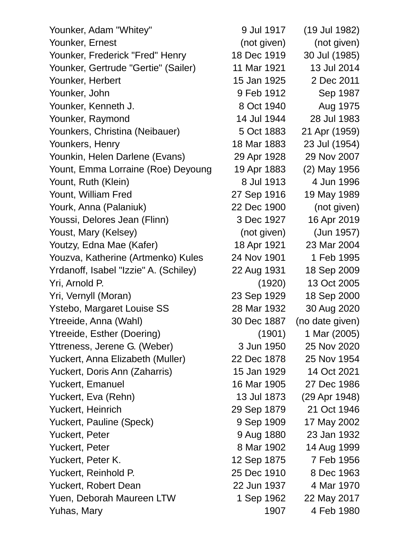| 9 Jul 1917  | (19 Jul 1982)                            |
|-------------|------------------------------------------|
| (not given) | (not given)                              |
| 18 Dec 1919 | 30 Jul (1985)                            |
| 11 Mar 1921 | 13 Jul 2014                              |
| 15 Jan 1925 | 2 Dec 2011                               |
| 9 Feb 1912  | Sep 1987                                 |
| 8 Oct 1940  | Aug 1975                                 |
| 14 Jul 1944 | 28 Jul 1983                              |
| 5 Oct 1883  | 21 Apr (1959)                            |
| 18 Mar 1883 | 23 Jul (1954)                            |
| 29 Apr 1928 | 29 Nov 2007                              |
| 19 Apr 1883 | (2) May 1956                             |
| 8 Jul 1913  | 4 Jun 1996                               |
| 27 Sep 1916 | 19 May 1989                              |
| 22 Dec 1900 | (not given)                              |
| 3 Dec 1927  | 16 Apr 2019                              |
| (not given) | (Jun 1957)                               |
| 18 Apr 1921 | 23 Mar 2004                              |
| 24 Nov 1901 | 1 Feb 1995                               |
| 22 Aug 1931 | 18 Sep 2009                              |
| (1920)      | 13 Oct 2005                              |
| 23 Sep 1929 | 18 Sep 2000                              |
| 28 Mar 1932 | 30 Aug 2020                              |
| 30 Dec 1887 | (no date given)                          |
| (1901)      | 1 Mar (2005)                             |
| 3 Jun 1950  | 25 Nov 2020                              |
| 22 Dec 1878 | 25 Nov 1954                              |
| 15 Jan 1929 | 14 Oct 2021                              |
| 16 Mar 1905 | 27 Dec 1986                              |
|             | (29 Apr 1948)                            |
| 29 Sep 1879 | 21 Oct 1946                              |
| 9 Sep 1909  | 17 May 2002                              |
| 9 Aug 1880  | 23 Jan 1932                              |
| 8 Mar 1902  | 14 Aug 1999                              |
| 12 Sep 1875 | 7 Feb 1956                               |
| 25 Dec 1910 | 8 Dec 1963                               |
|             | 4 Mar 1970                               |
|             | 22 May 2017                              |
| 1907        | 4 Feb 1980                               |
|             | 13 Jul 1873<br>22 Jun 1937<br>1 Sep 1962 |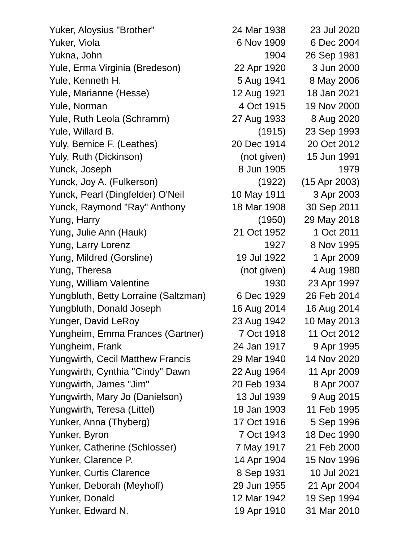Yuker, Aloysius "Brother" 24 Mar 1938 23 Jul 2020 Yuker, Viola 6 Nov 1909 6 Dec 2004 Yukna, John 1904 26 Sep 1981 Yule, Erma Virginia (Bredeson) 22 Apr 1920 3 Jun 2000 Yule, Kenneth H. 5 Aug 1941 8 May 2006 Yule, Marianne (Hesse) 12 Aug 1921 18 Jan 2021 Yule, Norman 4 Oct 1915 19 Nov 2000 Yule, Ruth Leola (Schramm) 27 Aug 1933 8 Aug 2020 Yule, Willard B. (1915) 23 Sep 1993 Yuly, Bernice F. (Leathes) 20 Dec 1914 20 Oct 2012 Yuly, Ruth (Dickinson) (not given) 15 Jun 1991 Yunck, Joseph 8 Jun 1905 1979 Yunck, Joy A. (Fulkerson) (1922) (15 Apr 2003) Yunck, Pearl (Dingfelder) O'Neil 10 May 1911 3 Apr 2003 Yunck, Raymond "Ray" Anthony 18 Mar 1908 30 Sep 2011 Yung, Harry (1950) 29 May 2018 Yung, Julie Ann (Hauk) 21 Oct 1952 1 Oct 2011 Yung, Larry Lorenz 2008 1927 8 Nov 1995 Yung, Mildred (Gorsline) 19 Jul 1922 1 Apr 2009 Yung, Theresa (not given) 4 Aug 1980 Yung, William Valentine 1930 23 Apr 1997 Yungbluth, Betty Lorraine (Saltzman) 6 Dec 1929 26 Feb 2014 Yungbluth, Donald Joseph 16 Aug 2014 16 Aug 2014 Yunger, David LeRoy 23 Aug 1942 10 May 2013 Yungheim, Emma Frances (Gartner) 7 Oct 1918 11 Oct 2012 Yungheim, Frank 24 Jan 1917 9 Apr 1995 Yungwirth, Cecil Matthew Francis 29 Mar 1940 14 Nov 2020 Yungwirth, Cynthia "Cindy" Dawn 22 Aug 1964 11 Apr 2009 Yungwirth, James "Jim" 20 Feb 1934 8 Apr 2007 Yungwirth, Mary Jo (Danielson) 13 Jul 1939 9 Aug 2015 Yungwirth, Teresa (Littel) 18 Jan 1903 11 Feb 1995 Yunker, Anna (Thyberg) 17 Oct 1916 5 Sep 1996 Yunker, Byron 7 Oct 1943 18 Dec 1990 Yunker, Catherine (Schlosser) 7 May 1917 21 Feb 2000 Yunker, Clarence P. 14 Apr 1904 15 Nov 1996 Yunker, Curtis Clarence **8 Sep 1931** 10 Jul 2021 Yunker, Deborah (Meyhoff) 29 Jun 1955 21 Apr 2004 Yunker, Donald 12 Mar 1942 19 Sep 1994 Yunker, Edward N. 19 Apr 1910 31 Mar 2010